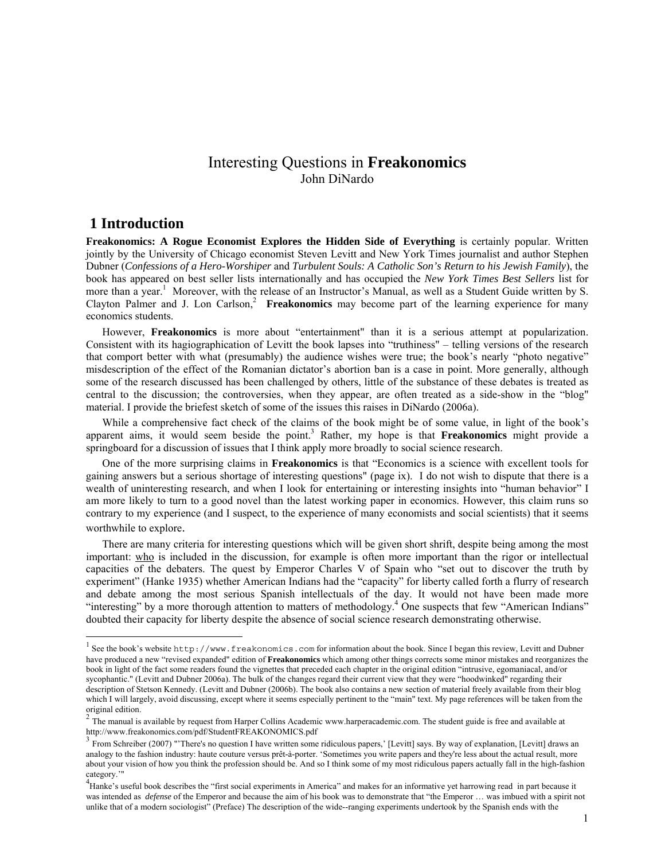# Interesting Questions in **Freakonomics** John DiNardo

#### **1 Introduction**

 $\overline{a}$ 

**Freakonomics: A Rogue Economist Explores the Hidden Side of Everything** is certainly popular. Written jointly by the University of Chicago economist Steven Levitt and New York Times journalist and author Stephen Dubner (*Confessions of a Hero-Worshiper* and *Turbulent Souls: A Catholic Son's Return to his Jewish Family*), the book has appeared on best seller lists internationally and has occupied the *New York Times Best Sellers* list for more than a year.<sup>1</sup> Moreover, with the release of an Instructor's Manual, as well as a Student Guide written by S. Clayton Palmer and J. Lon Carlson,<sup>2</sup> **Freakonomics** may become part of the learning experience for many economics students.

However, **Freakonomics** is more about "entertainment" than it is a serious attempt at popularization. Consistent with its hagiographication of Levitt the book lapses into "truthiness" – telling versions of the research that comport better with what (presumably) the audience wishes were true; the book's nearly "photo negative" misdescription of the effect of the Romanian dictator's abortion ban is a case in point. More generally, although some of the research discussed has been challenged by others, little of the substance of these debates is treated as central to the discussion; the controversies, when they appear, are often treated as a side-show in the "blog" material. I provide the briefest sketch of some of the issues this raises in DiNardo (2006a).

While a comprehensive fact check of the claims of the book might be of some value, in light of the book's apparent aims, it would seem beside the point.<sup>3</sup> Rather, my hope is that Freakonomics might provide a springboard for a discussion of issues that I think apply more broadly to social science research.

One of the more surprising claims in **Freakonomics** is that "Economics is a science with excellent tools for gaining answers but a serious shortage of interesting questions" (page ix). I do not wish to dispute that there is a wealth of uninteresting research, and when I look for entertaining or interesting insights into "human behavior" I am more likely to turn to a good novel than the latest working paper in economics. However, this claim runs so contrary to my experience (and I suspect, to the experience of many economists and social scientists) that it seems worthwhile to explore.

There are many criteria for interesting questions which will be given short shrift, despite being among the most important: who is included in the discussion, for example is often more important than the rigor or intellectual capacities of the debaters. The quest by Emperor Charles V of Spain who "set out to discover the truth by experiment" (Hanke 1935) whether American Indians had the "capacity" for liberty called forth a flurry of research and debate among the most serious Spanish intellectuals of the day. It would not have been made more "interesting" by a more thorough attention to matters of methodology.<sup>4</sup> One suspects that few "American Indians" doubted their capacity for liberty despite the absence of social science research demonstrating otherwise.

<sup>1</sup> See the book's website http://www.freakonomics.com for information about the book. Since I began this review, Levitt and Dubner have produced a new "revised expanded" edition of **Freakonomics** which among other things corrects some minor mistakes and reorganizes the book in light of the fact some readers found the vignettes that preceded each chapter in the original edition "intrusive, egomaniacal, and/or sycophantic." (Levitt and Dubner 2006a). The bulk of the changes regard their current view that they were "hoodwinked" regarding their description of Stetson Kennedy. (Levitt and Dubner (2006b). The book also contains a new section of material freely available from their blog which I will largely, avoid discussing, except where it seems especially pertinent to the "main" text. My page references will be taken from the original edition.

 $2$  The manual is available by request from Harper Collins Academic www.harperacademic.com. The student guide is free and available at http://www.freakonomics.com/pdf/StudentFREAKONOMICS.pdf<br><sup>3</sup> From Schreiber (2007) "'There's no question I have written some ridiculous papers,' [Levitt] says. By way of explanation, [Levitt] draws an

analogy to the fashion industry: haute couture versus prêt-à-porter. 'Sometimes you write papers and they're less about the actual result, more about your vision of how you think the profession should be. And so I think some of my most ridiculous papers actually fall in the high-fashion category.'"

 $^{4}$ Hanke's useful book describes the "first social experiments in America" and makes for an informative yet harrowing read in part because it was intended as *defense* of the Emperor and because the aim of his book was to demonstrate that "the Emperor … was imbued with a spirit not unlike that of a modern sociologist" (Preface) The description of the wide--ranging experiments undertook by the Spanish ends with the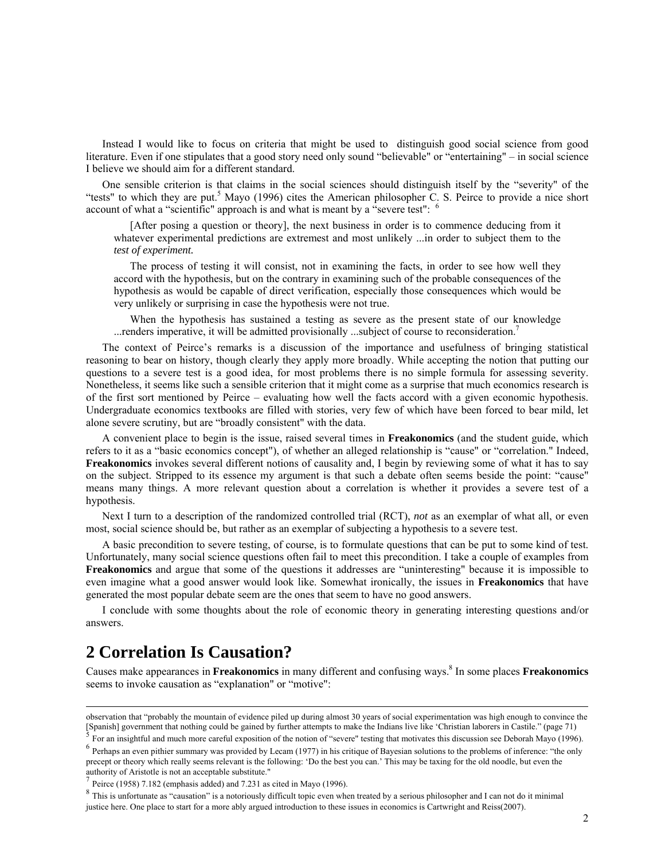Instead I would like to focus on criteria that might be used to distinguish good social science from good literature. Even if one stipulates that a good story need only sound "believable" or "entertaining" – in social science I believe we should aim for a different standard.

One sensible criterion is that claims in the social sciences should distinguish itself by the "severity" of the "tests" to which they are put.<sup>5</sup> Mayo (1996) cites the American philosopher C. S. Peirce to provide a nice short account of what a "scientific" approach is and what is meant by a "severe test": <sup>6</sup>

[After posing a question or theory], the next business in order is to commence deducing from it whatever experimental predictions are extremest and most unlikely ...in order to subject them to the *test of experiment.*

The process of testing it will consist, not in examining the facts, in order to see how well they accord with the hypothesis, but on the contrary in examining such of the probable consequences of the hypothesis as would be capable of direct verification, especially those consequences which would be very unlikely or surprising in case the hypothesis were not true.

When the hypothesis has sustained a testing as severe as the present state of our knowledge ...renders imperative, it will be admitted provisionally ...subject of course to reconsideration.<sup>7</sup>

The context of Peirce's remarks is a discussion of the importance and usefulness of bringing statistical reasoning to bear on history, though clearly they apply more broadly. While accepting the notion that putting our questions to a severe test is a good idea, for most problems there is no simple formula for assessing severity. Nonetheless, it seems like such a sensible criterion that it might come as a surprise that much economics research is of the first sort mentioned by Peirce – evaluating how well the facts accord with a given economic hypothesis. Undergraduate economics textbooks are filled with stories, very few of which have been forced to bear mild, let alone severe scrutiny, but are "broadly consistent" with the data.

A convenient place to begin is the issue, raised several times in **Freakonomics** (and the student guide, which refers to it as a "basic economics concept"), of whether an alleged relationship is "cause" or "correlation." Indeed, **Freakonomics** invokes several different notions of causality and, I begin by reviewing some of what it has to say on the subject. Stripped to its essence my argument is that such a debate often seems beside the point: "cause" means many things. A more relevant question about a correlation is whether it provides a severe test of a hypothesis.

Next I turn to a description of the randomized controlled trial (RCT), *not* as an exemplar of what all, or even most, social science should be, but rather as an exemplar of subjecting a hypothesis to a severe test.

A basic precondition to severe testing, of course, is to formulate questions that can be put to some kind of test. Unfortunately, many social science questions often fail to meet this precondition. I take a couple of examples from **Freakonomics** and argue that some of the questions it addresses are "uninteresting" because it is impossible to even imagine what a good answer would look like. Somewhat ironically, the issues in **Freakonomics** that have generated the most popular debate seem are the ones that seem to have no good answers.

I conclude with some thoughts about the role of economic theory in generating interesting questions and/or answers.

# **2 Correlation Is Causation?**

Causes make appearances in **Freakonomics** in many different and confusing ways.<sup>8</sup> In some places **Freakonomics** seems to invoke causation as "explanation" or "motive":

observation that "probably the mountain of evidence piled up during almost 30 years of social experimentation was high enough to convince the [Spanish] government that nothing could be gained by further attempts to make the Indians live like 'Christian laborers in Castile." (page 71)<br><sup>5</sup> For an insightful and much more careful exposition of the notion of "severe

<sup>&</sup>lt;sup>6</sup> Perhaps an even pithier summary was provided by Lecam (1977) in his critique of Bayesian solutions to the problems of inference: "the only precept or theory which really seems relevant is the following: 'Do the best you can.' This may be taxing for the old noodle, but even the authority of Aristotle is not an acceptable substitute."

<sup>7</sup> Peirce (1958) 7.182 (emphasis added) and 7.231 as cited in Mayo (1996).

<sup>8</sup> This is unfortunate as "causation" is a notoriously difficult topic even when treated by a serious philosopher and I can not do it minimal justice here. One place to start for a more ably argued introduction to these issues in economics is Cartwright and Reiss(2007).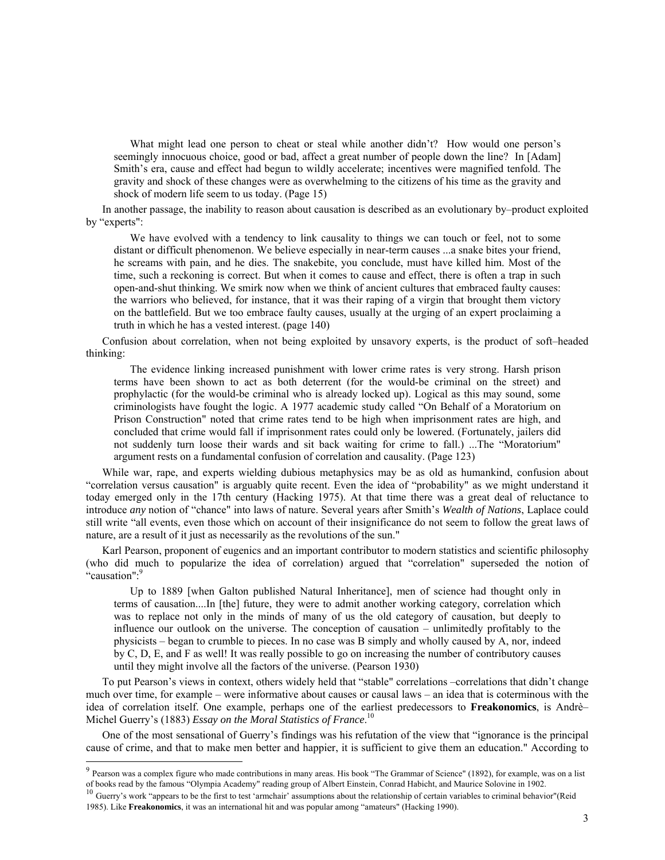What might lead one person to cheat or steal while another didn't? How would one person's seemingly innocuous choice, good or bad, affect a great number of people down the line? In [Adam] Smith's era, cause and effect had begun to wildly accelerate; incentives were magnified tenfold. The gravity and shock of these changes were as overwhelming to the citizens of his time as the gravity and shock of modern life seem to us today. (Page 15)

In another passage, the inability to reason about causation is described as an evolutionary by–product exploited by "experts":

We have evolved with a tendency to link causality to things we can touch or feel, not to some distant or difficult phenomenon. We believe especially in near-term causes ...a snake bites your friend, he screams with pain, and he dies. The snakebite, you conclude, must have killed him. Most of the time, such a reckoning is correct. But when it comes to cause and effect, there is often a trap in such open-and-shut thinking. We smirk now when we think of ancient cultures that embraced faulty causes: the warriors who believed, for instance, that it was their raping of a virgin that brought them victory on the battlefield. But we too embrace faulty causes, usually at the urging of an expert proclaiming a truth in which he has a vested interest. (page 140)

Confusion about correlation, when not being exploited by unsavory experts, is the product of soft–headed thinking:

The evidence linking increased punishment with lower crime rates is very strong. Harsh prison terms have been shown to act as both deterrent (for the would-be criminal on the street) and prophylactic (for the would-be criminal who is already locked up). Logical as this may sound, some criminologists have fought the logic. A 1977 academic study called "On Behalf of a Moratorium on Prison Construction" noted that crime rates tend to be high when imprisonment rates are high, and concluded that crime would fall if imprisonment rates could only be lowered. (Fortunately, jailers did not suddenly turn loose their wards and sit back waiting for crime to fall.) ...The "Moratorium" argument rests on a fundamental confusion of correlation and causality. (Page 123)

While war, rape, and experts wielding dubious metaphysics may be as old as humankind, confusion about "correlation versus causation" is arguably quite recent. Even the idea of "probability" as we might understand it today emerged only in the 17th century (Hacking 1975). At that time there was a great deal of reluctance to introduce *any* notion of "chance" into laws of nature. Several years after Smith's *Wealth of Nations*, Laplace could still write "all events, even those which on account of their insignificance do not seem to follow the great laws of nature, are a result of it just as necessarily as the revolutions of the sun."

Karl Pearson, proponent of eugenics and an important contributor to modern statistics and scientific philosophy (who did much to popularize the idea of correlation) argued that "correlation" superseded the notion of "causation":<sup>9</sup>

Up to 1889 [when Galton published Natural Inheritance], men of science had thought only in terms of causation....In [the] future, they were to admit another working category, correlation which was to replace not only in the minds of many of us the old category of causation, but deeply to influence our outlook on the universe. The conception of causation – unlimitedly profitably to the physicists – began to crumble to pieces. In no case was B simply and wholly caused by A, nor, indeed by C, D, E, and F as well! It was really possible to go on increasing the number of contributory causes until they might involve all the factors of the universe. (Pearson 1930)

To put Pearson's views in context, others widely held that "stable" correlations –correlations that didn't change much over time, for example – were informative about causes or causal laws – an idea that is coterminous with the idea of correlation itself. One example, perhaps one of the earliest predecessors to **Freakonomics**, is Andrè– Michel Guerry's (1883) *Essay on the Moral Statistics of France*. 10

One of the most sensational of Guerry's findings was his refutation of the view that "ignorance is the principal cause of crime, and that to make men better and happier, it is sufficient to give them an education." According to

 $9$  Pearson was a complex figure who made contributions in many areas. His book "The Grammar of Science" (1892), for example, was on a list

of books read by the famous "Olympia Academy" reading group of Albert Einstein, Conrad Habicht, and Maurice Solovine in 1902.<br><sup>10</sup> Guerry's work "appears to be the first to test 'armchair' assumptions about the relationshi 1985). Like **Freakonomics**, it was an international hit and was popular among "amateurs" (Hacking 1990).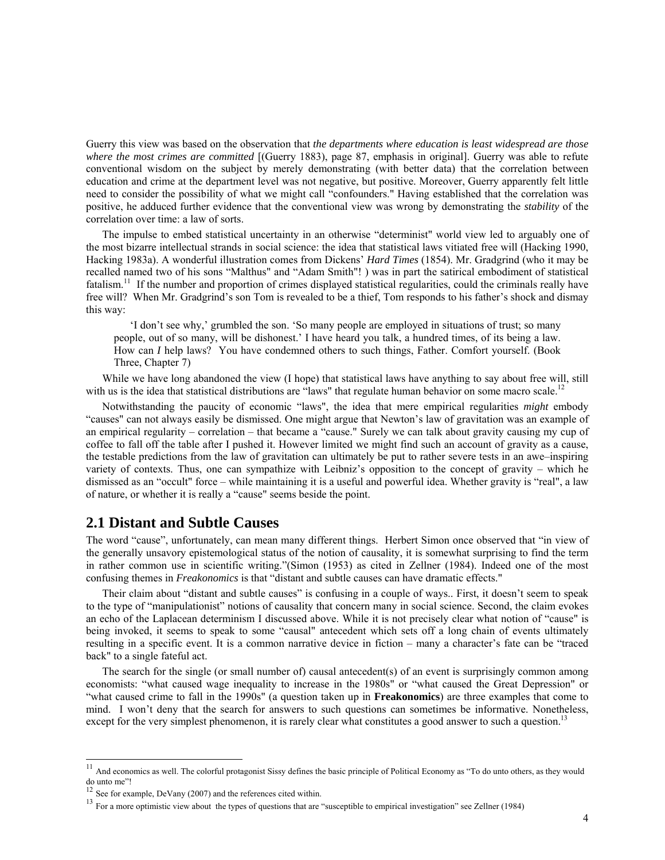Guerry this view was based on the observation that *the departments where education is least widespread are those where the most crimes are committed* [(Guerry 1883), page 87, emphasis in original]. Guerry was able to refute conventional wisdom on the subject by merely demonstrating (with better data) that the correlation between education and crime at the department level was not negative, but positive. Moreover, Guerry apparently felt little need to consider the possibility of what we might call "confounders." Having established that the correlation was positive, he adduced further evidence that the conventional view was wrong by demonstrating the *stability* of the correlation over time: a law of sorts.

The impulse to embed statistical uncertainty in an otherwise "determinist" world view led to arguably one of the most bizarre intellectual strands in social science: the idea that statistical laws vitiated free will (Hacking 1990, Hacking 1983a). A wonderful illustration comes from Dickens' *Hard Times* (1854). Mr. Gradgrind (who it may be recalled named two of his sons "Malthus" and "Adam Smith"! ) was in part the satirical embodiment of statistical fatalism.<sup>11</sup> If the number and proportion of crimes displayed statistical regularities, could the criminals really have free will? When Mr. Gradgrind's son Tom is revealed to be a thief, Tom responds to his father's shock and dismay this way:

'I don't see why,' grumbled the son. 'So many people are employed in situations of trust; so many people, out of so many, will be dishonest.' I have heard you talk, a hundred times, of its being a law. How can *I* help laws? You have condemned others to such things, Father. Comfort yourself. (Book Three, Chapter 7)

While we have long abandoned the view (I hope) that statistical laws have anything to say about free will, still with us is the idea that statistical distributions are "laws" that regulate human behavior on some macro scale.<sup>12</sup>

Notwithstanding the paucity of economic "laws", the idea that mere empirical regularities *might* embody "causes" can not always easily be dismissed. One might argue that Newton's law of gravitation was an example of an empirical regularity – correlation – that became a "cause." Surely we can talk about gravity causing my cup of coffee to fall off the table after I pushed it. However limited we might find such an account of gravity as a cause, the testable predictions from the law of gravitation can ultimately be put to rather severe tests in an awe–inspiring variety of contexts. Thus, one can sympathize with Leibniz's opposition to the concept of gravity – which he dismissed as an "occult" force – while maintaining it is a useful and powerful idea. Whether gravity is "real", a law of nature, or whether it is really a "cause" seems beside the point.

#### **2.1 Distant and Subtle Causes**

The word "cause", unfortunately, can mean many different things. Herbert Simon once observed that "in view of the generally unsavory epistemological status of the notion of causality, it is somewhat surprising to find the term in rather common use in scientific writing."(Simon (1953) as cited in Zellner (1984). Indeed one of the most confusing themes in *Freakonomics* is that "distant and subtle causes can have dramatic effects."

Their claim about "distant and subtle causes" is confusing in a couple of ways.. First, it doesn't seem to speak to the type of "manipulationist" notions of causality that concern many in social science. Second, the claim evokes an echo of the Laplacean determinism I discussed above. While it is not precisely clear what notion of "cause" is being invoked, it seems to speak to some "causal" antecedent which sets off a long chain of events ultimately resulting in a specific event. It is a common narrative device in fiction – many a character's fate can be "traced back" to a single fateful act.

The search for the single (or small number of) causal antecedent(s) of an event is surprisingly common among economists: "what caused wage inequality to increase in the 1980s" or "what caused the Great Depression" or "what caused crime to fall in the 1990s" (a question taken up in **Freakonomics**) are three examples that come to mind. I won't deny that the search for answers to such questions can sometimes be informative. Nonetheless, except for the very simplest phenomenon, it is rarely clear what constitutes a good answer to such a question.<sup>13</sup>

<sup>&</sup>lt;sup>11</sup> And economics as well. The colorful protagonist Sissy defines the basic principle of Political Economy as "To do unto others, as they would do unto me"!

<sup>&</sup>lt;sup>12</sup> See for example, DeVany (2007) and the references cited within.  $13$  For a more optimistic view about the types of questions that are "susceptible to empirical investigation" see Zellner (1984)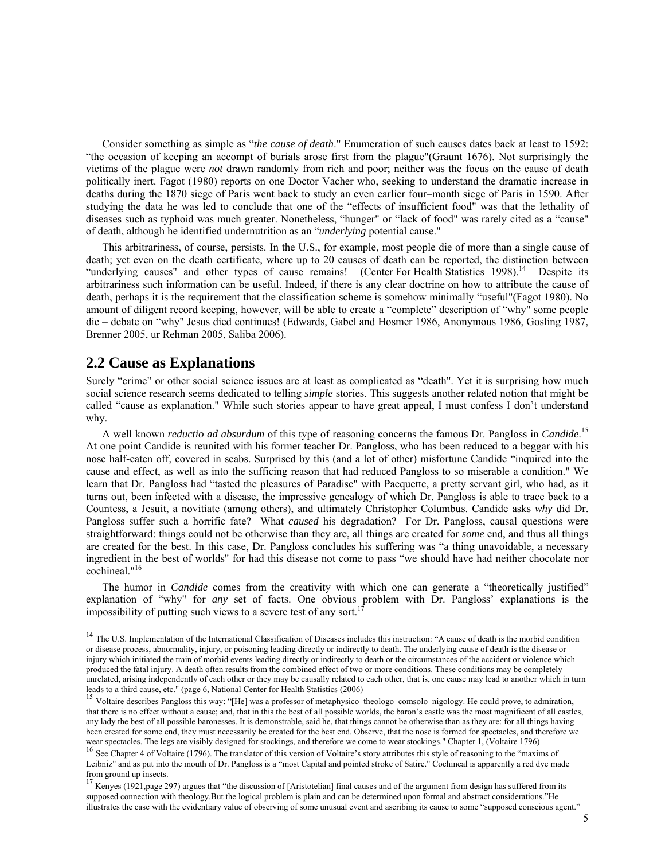Consider something as simple as "*the cause of death*." Enumeration of such causes dates back at least to 1592: "the occasion of keeping an accompt of burials arose first from the plague"(Graunt 1676). Not surprisingly the victims of the plague were *not* drawn randomly from rich and poor; neither was the focus on the cause of death politically inert. Fagot (1980) reports on one Doctor Vacher who, seeking to understand the dramatic increase in deaths during the 1870 siege of Paris went back to study an even earlier four–month siege of Paris in 1590. After studying the data he was led to conclude that one of the "effects of insufficient food" was that the lethality of diseases such as typhoid was much greater. Nonetheless, "hunger" or "lack of food" was rarely cited as a "cause" of death, although he identified undernutrition as an "*underlying* potential cause."

This arbitrariness, of course, persists. In the U.S., for example, most people die of more than a single cause of death; yet even on the death certificate, where up to 20 causes of death can be reported, the distinction between "underlying causes" and other types of cause remains! (Center For Health Statistics  $1998$ ).<sup>14</sup> Despite its arbitrariness such information can be useful. Indeed, if there is any clear doctrine on how to attribute the cause of death, perhaps it is the requirement that the classification scheme is somehow minimally "useful"(Fagot 1980). No amount of diligent record keeping, however, will be able to create a "complete" description of "why" some people die – debate on "why" Jesus died continues! (Edwards, Gabel and Hosmer 1986, Anonymous 1986, Gosling 1987, Brenner 2005, ur Rehman 2005, Saliba 2006).

## **2.2 Cause as Explanations**

 $\overline{a}$ 

Surely "crime" or other social science issues are at least as complicated as "death". Yet it is surprising how much social science research seems dedicated to telling *simple* stories. This suggests another related notion that might be called "cause as explanation." While such stories appear to have great appeal, I must confess I don't understand why.

A well known *reductio ad absurdum* of this type of reasoning concerns the famous Dr. Pangloss in *Candide*. 15 At one point Candide is reunited with his former teacher Dr. Pangloss, who has been reduced to a beggar with his nose half-eaten off, covered in scabs. Surprised by this (and a lot of other) misfortune Candide "inquired into the cause and effect, as well as into the sufficing reason that had reduced Pangloss to so miserable a condition." We learn that Dr. Pangloss had "tasted the pleasures of Paradise" with Pacquette, a pretty servant girl, who had, as it turns out, been infected with a disease, the impressive genealogy of which Dr. Pangloss is able to trace back to a Countess, a Jesuit, a novitiate (among others), and ultimately Christopher Columbus. Candide asks *why* did Dr. Pangloss suffer such a horrific fate? What *caused* his degradation? For Dr. Pangloss, causal questions were straightforward: things could not be otherwise than they are, all things are created for *some* end, and thus all things are created for the best. In this case, Dr. Pangloss concludes his suffering was "a thing unavoidable, a necessary ingredient in the best of worlds" for had this disease not come to pass "we should have had neither chocolate nor cochineal."16

The humor in *Candide* comes from the creativity with which one can generate a "theoretically justified" explanation of "why" for *any* set of facts. One obvious problem with Dr. Pangloss' explanations is the impossibility of putting such views to a severe test of any sort.<sup>1</sup>

<sup>&</sup>lt;sup>14</sup> The U.S. Implementation of the International Classification of Diseases includes this instruction: "A cause of death is the morbid condition or disease process, abnormality, injury, or poisoning leading directly or indirectly to death. The underlying cause of death is the disease or injury which initiated the train of morbid events leading directly or indirectly to death or the circumstances of the accident or violence which produced the fatal injury. A death often results from the combined effect of two or more conditions. These conditions may be completely unrelated, arising independently of each other or they may be causally related to each other, that is, one cause may lead to another which in turn leads to a third cause, etc." (page 6, National Center for Health Statistics (2006)

<sup>&</sup>lt;sup>15</sup> Voltaire describes Pangloss this way: "[He] was a professor of metaphysico–theologo–comsolo–nigology. He could prove, to admiration, that there is no effect without a cause; and, that in this the best of all possible worlds, the baron's castle was the most magnificent of all castles, any lady the best of all possible baronesses. It is demonstrable, said he, that things cannot be otherwise than as they are: for all things having been created for some end, they must necessarily be created for the best end. Observe, that the nose is formed for spectacles, and therefore we wear spectacles. The legs are visibly designed for stockings, and therefore we come to wear stockings." Chapter 1, (Voltaire 1796)<br><sup>16</sup> See Chapter 4 of Voltaire (1796). The translator of this version of Voltaire's story a

Leibniz" and as put into the mouth of Dr. Pangloss is a "most Capital and pointed stroke of Satire." Cochineal is apparently a red dye made from ground up insects.

 $17$  Kenyes (1921, page 297) argues that "the discussion of [Aristotelian] final causes and of the argument from design has suffered from its supposed connection with theology.But the logical problem is plain and can be determined upon formal and abstract considerations."He illustrates the case with the evidentiary value of observing of some unusual event and ascribing its cause to some "supposed conscious agent."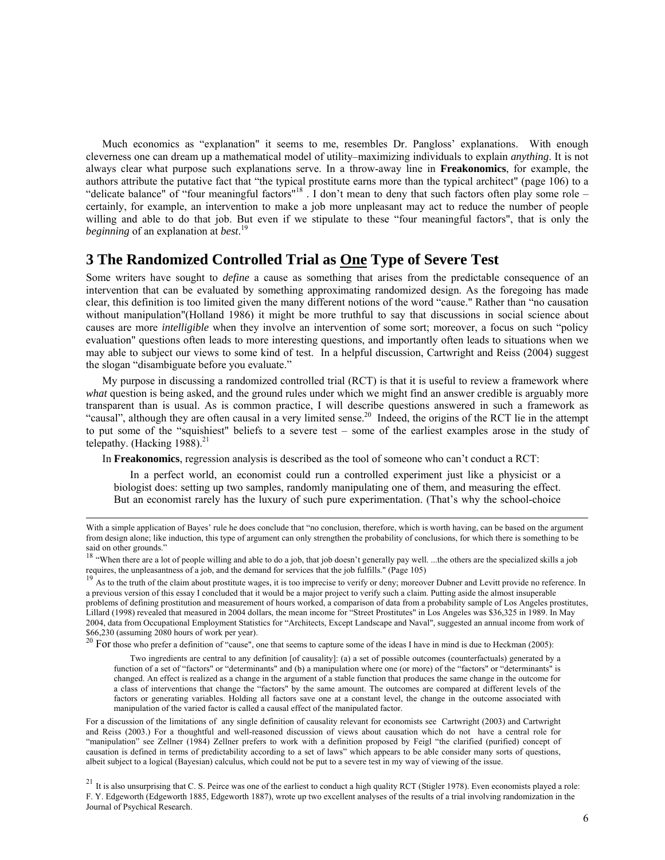Much economics as "explanation" it seems to me, resembles Dr. Pangloss' explanations. With enough cleverness one can dream up a mathematical model of utility–maximizing individuals to explain *anything*. It is not always clear what purpose such explanations serve. In a throw-away line in **Freakonomics**, for example, the authors attribute the putative fact that "the typical prostitute earns more than the typical architect" (page 106) to a "delicate balance" of "four meaningful factors"<sup>18</sup>. I don't mean to deny that such factors often play some role – certainly, for example, an intervention to make a job more unpleasant may act to reduce the number of people willing and able to do that job. But even if we stipulate to these "four meaningful factors", that is only the *beginning* of an explanation at *best*. 19

## **3 The Randomized Controlled Trial as One Type of Severe Test**

Some writers have sought to *define* a cause as something that arises from the predictable consequence of an intervention that can be evaluated by something approximating randomized design. As the foregoing has made clear, this definition is too limited given the many different notions of the word "cause." Rather than "no causation without manipulation"(Holland 1986) it might be more truthful to say that discussions in social science about causes are more *intelligible* when they involve an intervention of some sort; moreover, a focus on such "policy evaluation" questions often leads to more interesting questions, and importantly often leads to situations when we may able to subject our views to some kind of test. In a helpful discussion, Cartwright and Reiss (2004) suggest the slogan "disambiguate before you evaluate."

My purpose in discussing a randomized controlled trial (RCT) is that it is useful to review a framework where *what* question is being asked, and the ground rules under which we might find an answer credible is arguably more transparent than is usual. As is common practice, I will describe questions answered in such a framework as "causal", although they are often causal in a very limited sense.<sup>20</sup> Indeed, the origins of the RCT lie in the attempt to put some of the "squishiest" beliefs to a severe test – some of the earliest examples arose in the study of telepathy. (Hacking  $1988$ ).<sup>21</sup>

In **Freakonomics**, regression analysis is described as the tool of someone who can't conduct a RCT:

In a perfect world, an economist could run a controlled experiment just like a physicist or a biologist does: setting up two samples, randomly manipulating one of them, and measuring the effect. But an economist rarely has the luxury of such pure experimentation. (That's why the school-choice

<sup>20</sup> For those who prefer a definition of "cause", one that seems to capture some of the ideas I have in mind is due to Heckman (2005):

Two ingredients are central to any definition [of causality]: (a) a set of possible outcomes (counterfactuals) generated by a function of a set of "factors" or "determinants" and (b) a manipulation where one (or more) of the "factors" or "determinants" is changed. An effect is realized as a change in the argument of a stable function that produces the same change in the outcome for a class of interventions that change the "factors" by the same amount. The outcomes are compared at different levels of the factors or generating variables. Holding all factors save one at a constant level, the change in the outcome associated with manipulation of the varied factor is called a causal effect of the manipulated factor.

For a discussion of the limitations of any single definition of causality relevant for economists see Cartwright (2003) and Cartwright and Reiss (2003.) For a thoughtful and well-reasoned discussion of views about causation which do not have a central role for "manipulation" see Zellner (1984) Zellner prefers to work with a definition proposed by Feigl "the clarified (purified) concept of causation is defined in terms of predictability according to a set of laws" which appears to be able consider many sorts of questions, albeit subject to a logical (Bayesian) calculus, which could not be put to a severe test in my way of viewing of the issue.

 $21$  It is also unsurprising that C. S. Peirce was one of the earliest to conduct a high quality RCT (Stigler 1978). Even economists played a role: F. Y. Edgeworth (Edgeworth 1885, Edgeworth 1887), wrote up two excellent analyses of the results of a trial involving randomization in the Journal of Psychical Research.

With a simple application of Bayes' rule he does conclude that "no conclusion, therefore, which is worth having, can be based on the argument from design alone; like induction, this type of argument can only strengthen the probability of conclusions, for which there is something to be said on other grounds."

<sup>&</sup>lt;sup>18</sup> "When there are a lot of people willing and able to do a job, that job doesn't generally pay well. ...the others are the specialized skills a job

requires, the unpleasantness of a job, and the demand for services that the job fulfills." (Page 105)<br><sup>19</sup> As to the truth of the claim about prostitute wages, it is too imprecise to verify or deny; moreover Dubner and Le a previous version of this essay I concluded that it would be a major project to verify such a claim. Putting aside the almost insuperable problems of defining prostitution and measurement of hours worked, a comparison of data from a probability sample of Los Angeles prostitutes, Lillard (1998) revealed that measured in 2004 dollars, the mean income for "Street Prostitutes" in Los Angeles was \$36,325 in 1989. In May 2004, data from Occupational Employment Statistics for "Architects, Except Landscape and Naval", suggested an annual income from work of \$66,230 (assuming 2080 hours of work per year).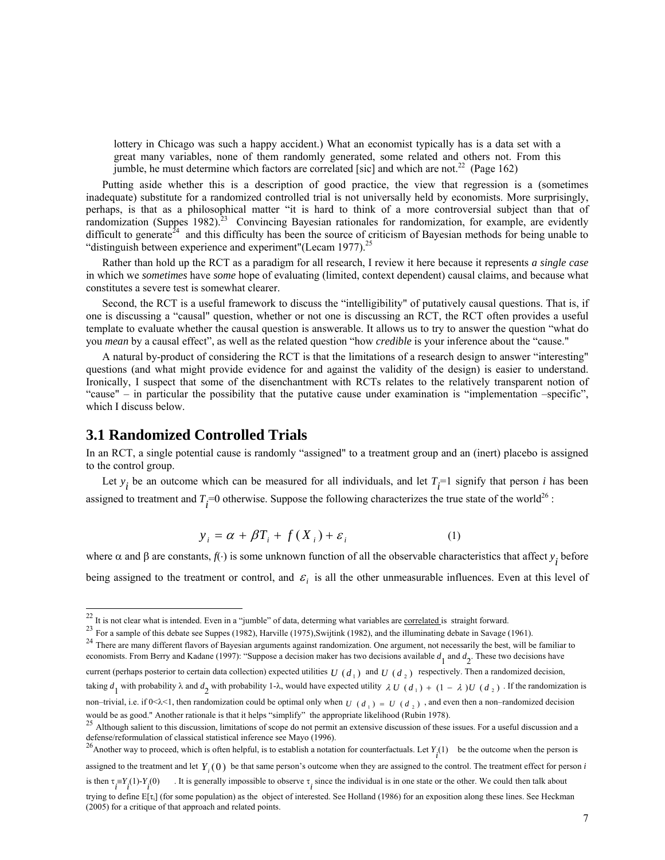lottery in Chicago was such a happy accident.) What an economist typically has is a data set with a great many variables, none of them randomly generated, some related and others not. From this jumble, he must determine which factors are correlated [sic] and which are not.<sup>22</sup> (Page 162)

Putting aside whether this is a description of good practice, the view that regression is a (sometimes inadequate) substitute for a randomized controlled trial is not universally held by economists. More surprisingly, perhaps, is that as a philosophical matter "it is hard to think of a more controversial subject than that of randomization (Suppes 1982).<sup>23</sup> Convincing Bayesian rationales for randomization, for example, are evidently difficult to generate<sup> $24$ </sup> and this difficulty has been the source of criticism of Bayesian methods for being unable to "distinguish between experience and experiment" (Lecam 1977). $^{25}$ 

Rather than hold up the RCT as a paradigm for all research, I review it here because it represents *a single case* in which we *sometimes* have *some* hope of evaluating (limited, context dependent) causal claims, and because what constitutes a severe test is somewhat clearer.

Second, the RCT is a useful framework to discuss the "intelligibility" of putatively causal questions. That is, if one is discussing a "causal" question, whether or not one is discussing an RCT, the RCT often provides a useful template to evaluate whether the causal question is answerable. It allows us to try to answer the question "what do you *mean* by a causal effect", as well as the related question "how *credible* is your inference about the "cause."

A natural by-product of considering the RCT is that the limitations of a research design to answer "interesting" questions (and what might provide evidence for and against the validity of the design) is easier to understand. Ironically, I suspect that some of the disenchantment with RCTs relates to the relatively transparent notion of "cause" – in particular the possibility that the putative cause under examination is "implementation –specific", which I discuss below.

## **3.1 Randomized Controlled Trials**

 $\overline{a}$ 

In an RCT, a single potential cause is randomly "assigned" to a treatment group and an (inert) placebo is assigned to the control group.

Let  $y_i$  be an outcome which can be measured for all individuals, and let  $T_i$ =1 signify that person *i* has been assigned to treatment and  $T_i$ =0 otherwise. Suppose the following characterizes the true state of the world<sup>26</sup> :

$$
y_i = \alpha + \beta T_i + f(X_i) + \varepsilon_i \tag{1}
$$

where  $\alpha$  and  $\beta$  are constants,  $f(\cdot)$  is some unknown function of all the observable characteristics that affect  $y_i$  before being assigned to the treatment or control, and  $\varepsilon_i$  is all the other unmeasurable influences. Even at this level of

23 For a sample of this debate see Suppes (1982), Harville (1975), Swijtink (1982), and the illuminating debate in Savage (1961).<br><sup>24</sup> There are many different flavors of Bayesian arguments against randomization. One argum economists. From Berry and Kadane (1997): "Suppose a decision maker has two decisions available  $d_1$  and  $d_2$ . These two decisions have

 $^{22}$  It is not clear what is intended. Even in a "jumble" of data, determing what variables are <u>correlated</u> is straight forward.<br><sup>23</sup> For a sample of this debate see Suppes (1982), Harville (1975), Swijtink (1982), and

current (perhaps posterior to certain data collection) expected utilities  $U(d_1)$  and  $U(d_2)$  respectively. Then a randomized decision,

taking  $d_1$  with probability  $\lambda$  and  $d_2$  with probability 1- $\lambda$ , would have expected utility  $\lambda U(d_1) + (1 - \lambda)U(d_2)$ . If the randomization is

non–trivial, i.e. if  $0 \le \lambda \le 1$ , then randomization could be optimal only when  $U(d_1) = U(d_2)$ , and even then a non–randomized decision would be as good." Another rationale is that it helps "simplify" the appropriate likelihood (Rubin 1978).<br><sup>25</sup> Although salient to this discussion, limitations of scope do not permit an extensive discussion of these issues

defense/reformulation of classical statistical inference see Mayo (1996).<br><sup>26</sup> Another way to proceed, which is often helpful, is to establish a notation for counterfactuals. Let  $Y_i(1)$  be the outcome when the person is assigned to the treatment and let  $Y_i(0)$  be that same person's outcome when they are assigned to the control. The treatment effect for person *i* is then  $\tau_i = Y_i(1) - Y_i(0)$ . It is generally impossible to observe  $\tau_i$  since the individual is in one state or the other. We could then talk about trying to define  $E[\tau_i]$  (for some population) as the object of interested. See Holland (1986) for an exposition along these lines. See Heckman (2005) for a critique of that approach and related points.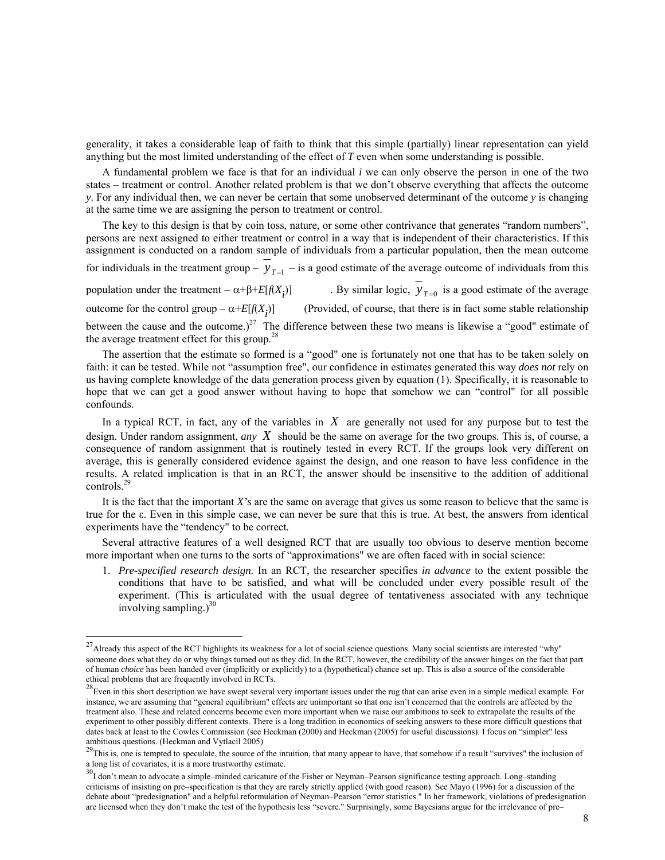generality, it takes a considerable leap of faith to think that this simple (partially) linear representation can yield anything but the most limited understanding of the effect of *T* even when some understanding is possible.

A fundamental problem we face is that for an individual *i* we can only observe the person in one of the two states – treatment or control. Another related problem is that we don't observe everything that affects the outcome *y*. For any individual then, we can never be certain that some unobserved determinant of the outcome *y* is changing at the same time we are assigning the person to treatment or control.

The key to this design is that by coin toss, nature, or some other contrivance that generates "random numbers", persons are next assigned to either treatment or control in a way that is independent of their characteristics. If this assignment is conducted on a random sample of individuals from a particular population, then the mean outcome

for individuals in the treatment group –  $y_{T=1}$  – is a good estimate of the average outcome of individuals from this

population under the treatment –  $\alpha + \beta + E[f(X_i)]$  . By similar logic,  $y_{T=0}$  is a good estimate of the average outcome for the control group –  $\alpha$ + $E[f(X_i)]$ )] (Provided, of course, that there is in fact some stable relationship between the cause and the outcome.)<sup>27</sup> The difference between these two means is likewise a "good" estimate of the average treatment effect for this group.<sup>2</sup>

The assertion that the estimate so formed is a "good" one is fortunately not one that has to be taken solely on faith: it can be tested. While not "assumption free", our confidence in estimates generated this way *does not* rely on us having complete knowledge of the data generation process given by equation (1). Specifically, it is reasonable to hope that we can get a good answer without having to hope that somehow we can "control" for all possible confounds.

In a typical RCT, in fact, any of the variables in *X* are generally not used for any purpose but to test the design. Under random assignment, *any X* should be the same on average for the two groups. This is, of course, a consequence of random assignment that is routinely tested in every RCT. If the groups look very different on average, this is generally considered evidence against the design, and one reason to have less confidence in the results. A related implication is that in an RCT, the answer should be insensitive to the addition of additional controls.29

It is the fact that the important *X's* are the same on average that gives us some reason to believe that the same is true for the ε. Even in this simple case, we can never be sure that this is true. At best, the answers from identical experiments have the "tendency" to be correct.

Several attractive features of a well designed RCT that are usually too obvious to deserve mention become more important when one turns to the sorts of "approximations" we are often faced with in social science:

1. *Pre-specified research design.* In an RCT, the researcher specifies *in advance* to the extent possible the conditions that have to be satisfied, and what will be concluded under every possible result of the experiment. (This is articulated with the usual degree of tentativeness associated with any technique involving sampling.) $30$ 

 $^{27}$ Already this aspect of the RCT highlights its weakness for a lot of social science questions. Many social scientists are interested "why" someone does what they do or why things turned out as they did. In the RCT, however, the credibility of the answer hinges on the fact that part of human *choice* has been handed over (implicitly or explicitly) to a (hypothetical) chance set up. This is also a source of the considerable ethical problems that are frequently involved in RCTs.

 $28$ Even in this short description we have swept several very important issues under the rug that can arise even in a simple medical example. For instance, we are assuming that "general equilibrium" effects are unimportant so that one isn't concerned that the controls are affected by the treatment also. These and related concerns become even more important when we raise our ambitions to seek to extrapolate the results of the experiment to other possibly different contexts. There is a long tradition in economics of seeking answers to these more difficult questions that dates back at least to the Cowles Commission (see Heckman (2000) and Heckman (2005) for useful discussions). I focus on "simpler" less ambitious questions. (Heckman and Vytlacil 2005)

 $29$ This is, one is tempted to speculate, the source of the intuition, that many appear to have, that somehow if a result "survives" the inclusion of a long list of covariates, it is a more trustworthy estimate.

 $30$ I don't mean to advocate a simple–minded caricature of the Fisher or Neyman–Pearson significance testing approach. Long–standing criticisms of insisting on pre–specification is that they are rarely strictly applied (with good reason). See Mayo (1996) for a discussion of the debate about "predesignation" and a helpful reformulation of Neyman–Pearson "error statistics." In her framework, violations of predesignation are licensed when they don't make the test of the hypothesis less "severe." Surprisingly, some Bayesians argue for the irrelevance of pre–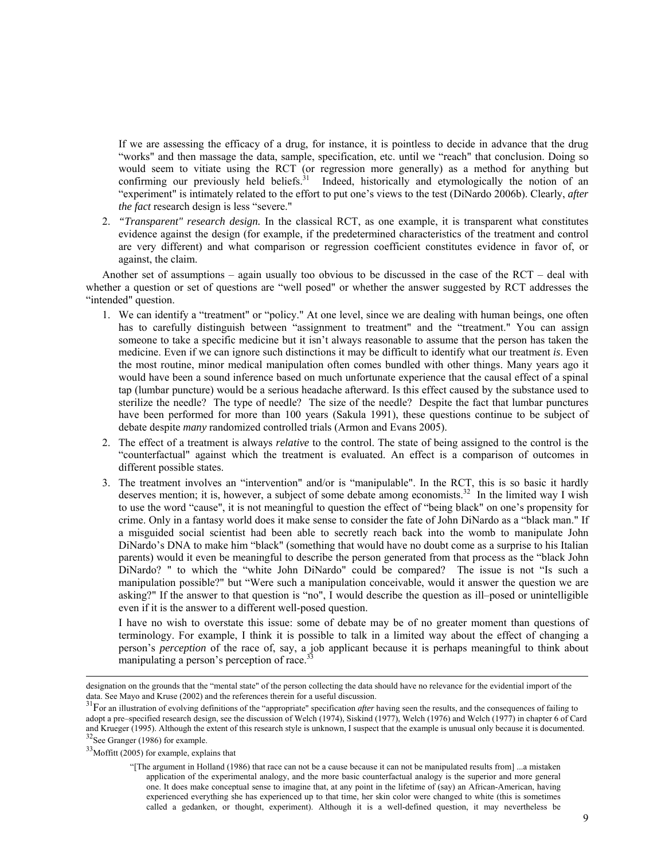If we are assessing the efficacy of a drug, for instance, it is pointless to decide in advance that the drug "works" and then massage the data, sample, specification, etc. until we "reach" that conclusion. Doing so would seem to vitiate using the RCT (or regression more generally) as a method for anything but confirming our previously held beliefs.<sup>31</sup> Indeed, historically and etymologically the notion of an "experiment" is intimately related to the effort to put one's views to the test (DiNardo 2006b). Clearly, *after the fact* research design is less "severe."

2. *"Transparent" research design.* In the classical RCT, as one example, it is transparent what constitutes evidence against the design (for example, if the predetermined characteristics of the treatment and control are very different) and what comparison or regression coefficient constitutes evidence in favor of, or against, the claim.

Another set of assumptions – again usually too obvious to be discussed in the case of the  $\text{RCT}$  – deal with whether a question or set of questions are "well posed" or whether the answer suggested by RCT addresses the "intended" question.

- 1. We can identify a "treatment" or "policy." At one level, since we are dealing with human beings, one often has to carefully distinguish between "assignment to treatment" and the "treatment." You can assign someone to take a specific medicine but it isn't always reasonable to assume that the person has taken the medicine. Even if we can ignore such distinctions it may be difficult to identify what our treatment *is*. Even the most routine, minor medical manipulation often comes bundled with other things. Many years ago it would have been a sound inference based on much unfortunate experience that the causal effect of a spinal tap (lumbar puncture) would be a serious headache afterward. Is this effect caused by the substance used to sterilize the needle? The type of needle? The size of the needle? Despite the fact that lumbar punctures have been performed for more than 100 years (Sakula 1991), these questions continue to be subject of debate despite *many* randomized controlled trials (Armon and Evans 2005).
- 2. The effect of a treatment is always *relative* to the control. The state of being assigned to the control is the "counterfactual" against which the treatment is evaluated. An effect is a comparison of outcomes in different possible states.
- 3. The treatment involves an "intervention" and/or is "manipulable". In the RCT, this is so basic it hardly deserves mention; it is, however, a subject of some debate among economists.<sup>32</sup> In the limited way I wish to use the word "cause", it is not meaningful to question the effect of "being black" on one's propensity for crime. Only in a fantasy world does it make sense to consider the fate of John DiNardo as a "black man." If a misguided social scientist had been able to secretly reach back into the womb to manipulate John DiNardo's DNA to make him "black" (something that would have no doubt come as a surprise to his Italian parents) would it even be meaningful to describe the person generated from that process as the "black John DiNardo? " to which the "white John DiNardo" could be compared? The issue is not "Is such a manipulation possible?" but "Were such a manipulation conceivable, would it answer the question we are asking?" If the answer to that question is "no", I would describe the question as ill–posed or unintelligible even if it is the answer to a different well-posed question.

I have no wish to overstate this issue: some of debate may be of no greater moment than questions of terminology. For example, I think it is possible to talk in a limited way about the effect of changing a person's *perception* of the race of, say, a job applicant because it is perhaps meaningful to think about manipulating a person's perception of race.<sup>33</sup>

designation on the grounds that the "mental state" of the person collecting the data should have no relevance for the evidential import of the data. See Mayo and Kruse (2002) and the references therein for a useful discuss

 $31$  For an illustration of evolving definitions of the "appropriate" specification *after* having seen the results, and the consequences of failing to adopt a pre–specified research design, see the discussion of Welch (1974), Siskind (1977), Welch (1976) and Welch (1977) in chapter 6 of Card and Krueger (1995). Although the extent of this research style is unknown, I suspect that the example is unusual only because it is documented.  $32$  See Granger (1986) for example.

<sup>&</sup>lt;sup>33</sup>Moffitt (2005) for example, explains that

<sup>&</sup>quot;[The argument in Holland (1986) that race can not be a cause because it can not be manipulated results from] ...a mistaken application of the experimental analogy, and the more basic counterfactual analogy is the superior and more general one. It does make conceptual sense to imagine that, at any point in the lifetime of (say) an African-American, having experienced everything she has experienced up to that time, her skin color were changed to white (this is sometimes called a gedanken, or thought, experiment). Although it is a well-defined question, it may nevertheless be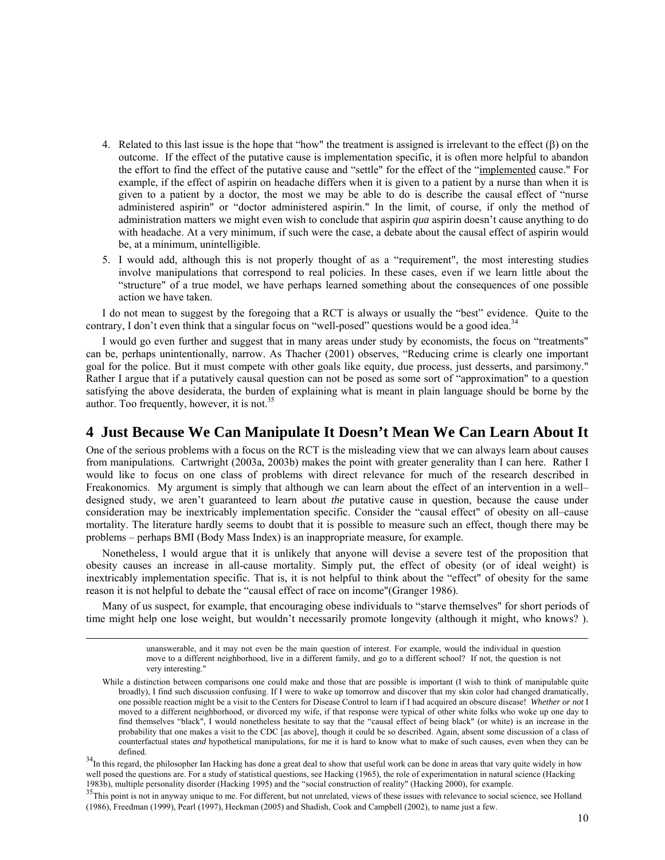- 4. Related to this last issue is the hope that "how" the treatment is assigned is irrelevant to the effect (β) on the outcome. If the effect of the putative cause is implementation specific, it is often more helpful to abandon the effort to find the effect of the putative cause and "settle" for the effect of the "implemented cause." For example, if the effect of aspirin on headache differs when it is given to a patient by a nurse than when it is given to a patient by a doctor, the most we may be able to do is describe the causal effect of "nurse administered aspirin" or "doctor administered aspirin." In the limit, of course, if only the method of administration matters we might even wish to conclude that aspirin *qua* aspirin doesn't cause anything to do with headache. At a very minimum, if such were the case, a debate about the causal effect of aspirin would be, at a minimum, unintelligible.
- 5. I would add, although this is not properly thought of as a "requirement", the most interesting studies involve manipulations that correspond to real policies. In these cases, even if we learn little about the "structure" of a true model, we have perhaps learned something about the consequences of one possible action we have taken.

I do not mean to suggest by the foregoing that a RCT is always or usually the "best" evidence. Quite to the contrary, I don't even think that a singular focus on "well-posed" questions would be a good idea. $34$ 

I would go even further and suggest that in many areas under study by economists, the focus on "treatments" can be, perhaps unintentionally, narrow. As Thacher (2001) observes, "Reducing crime is clearly one important goal for the police. But it must compete with other goals like equity, due process, just desserts, and parsimony." Rather I argue that if a putatively causal question can not be posed as some sort of "approximation" to a question satisfying the above desiderata, the burden of explaining what is meant in plain language should be borne by the author. Too frequently, however, it is not.<sup>35</sup>

#### **4 Just Because We Can Manipulate It Doesn't Mean We Can Learn About It**

One of the serious problems with a focus on the RCT is the misleading view that we can always learn about causes from manipulations. Cartwright (2003a, 2003b) makes the point with greater generality than I can here. Rather I would like to focus on one class of problems with direct relevance for much of the research described in Freakonomics. My argument is simply that although we can learn about the effect of an intervention in a well– designed study, we aren't guaranteed to learn about *the* putative cause in question, because the cause under consideration may be inextricably implementation specific. Consider the "causal effect" of obesity on all–cause mortality. The literature hardly seems to doubt that it is possible to measure such an effect, though there may be problems – perhaps BMI (Body Mass Index) is an inappropriate measure, for example.

Nonetheless, I would argue that it is unlikely that anyone will devise a severe test of the proposition that obesity causes an increase in all-cause mortality. Simply put, the effect of obesity (or of ideal weight) is inextricably implementation specific. That is, it is not helpful to think about the "effect" of obesity for the same reason it is not helpful to debate the "causal effect of race on income"(Granger 1986).

Many of us suspect, for example, that encouraging obese individuals to "starve themselves" for short periods of time might help one lose weight, but wouldn't necessarily promote longevity (although it might, who knows? ).

> unanswerable, and it may not even be the main question of interest. For example, would the individual in question move to a different neighborhood, live in a different family, and go to a different school? If not, the question is not very interesting."

While a distinction between comparisons one could make and those that are possible is important (I wish to think of manipulable quite broadly), I find such discussion confusing. If I were to wake up tomorrow and discover that my skin color had changed dramatically, one possible reaction might be a visit to the Centers for Disease Control to learn if I had acquired an obscure disease! *Whether or not* I moved to a different neighborhood, or divorced my wife, if that response were typical of other white folks who woke up one day to find themselves "black", I would nonetheless hesitate to say that the "causal effect of being black" (or white) is an increase in the probability that one makes a visit to the CDC [as above], though it could be so described. Again, absent some discussion of a class of counterfactual states *and* hypothetical manipulations, for me it is hard to know what to make of such causes, even when they can be

 $34$ In this regard, the philosopher Ian Hacking has done a great deal to show that useful work can be done in areas that vary quite widely in how well posed the questions are. For a study of statistical questions, see Hacking (1965), the role of experimentation in natural science (Hacking 1983b), multiple personality disorder (Hacking 1995) and the "social construct

<sup>35</sup> This point is not in anyway unique to me. For different, but not unrelated, views of these issues with relevance to social science, see Holland (1986), Freedman (1999), Pearl (1997), Heckman (2005) and Shadish, Cook and Campbell (2002), to name just a few.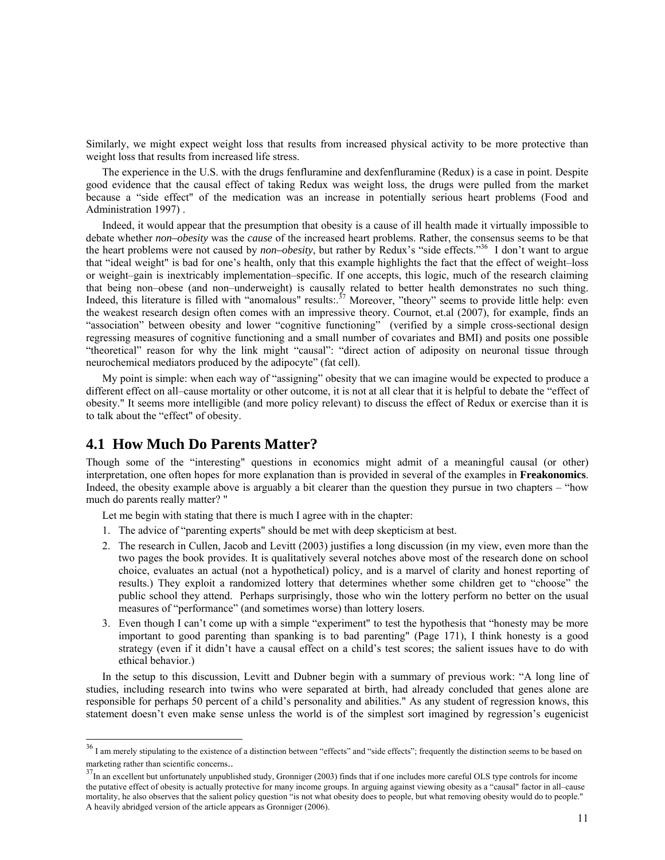Similarly, we might expect weight loss that results from increased physical activity to be more protective than weight loss that results from increased life stress.

The experience in the U.S. with the drugs fenfluramine and dexfenfluramine (Redux) is a case in point. Despite good evidence that the causal effect of taking Redux was weight loss, the drugs were pulled from the market because a "side effect" of the medication was an increase in potentially serious heart problems (Food and Administration 1997) .

Indeed, it would appear that the presumption that obesity is a cause of ill health made it virtually impossible to debate whether *non–obesity* was the *cause* of the increased heart problems. Rather, the consensus seems to be that the heart problems were not caused by *non–obesity*, but rather by Redux's "side effects."36 I don't want to argue that "ideal weight" is bad for one's health, only that this example highlights the fact that the effect of weight–loss or weight–gain is inextricably implementation–specific. If one accepts, this logic, much of the research claiming that being non–obese (and non–underweight) is causally related to better health demonstrates no such thing. Indeed, this literature is filled with "anomalous" results:.<sup>37</sup> Moreover, "theory" seems to provide little help: even the weakest research design often comes with an impressive theory. Cournot, et.al (2007), for example, finds an "association" between obesity and lower "cognitive functioning" (verified by a simple cross-sectional design regressing measures of cognitive functioning and a small number of covariates and BMI) and posits one possible "theoretical" reason for why the link might "causal": "direct action of adiposity on neuronal tissue through neurochemical mediators produced by the adipocyte" (fat cell).

My point is simple: when each way of "assigning" obesity that we can imagine would be expected to produce a different effect on all–cause mortality or other outcome, it is not at all clear that it is helpful to debate the "effect of obesity." It seems more intelligible (and more policy relevant) to discuss the effect of Redux or exercise than it is to talk about the "effect" of obesity.

## **4.1 How Much Do Parents Matter?**

 $\overline{a}$ 

Though some of the "interesting" questions in economics might admit of a meaningful causal (or other) interpretation, one often hopes for more explanation than is provided in several of the examples in **Freakonomics**. Indeed, the obesity example above is arguably a bit clearer than the question they pursue in two chapters – "how much do parents really matter? "

Let me begin with stating that there is much I agree with in the chapter:

- 1. The advice of "parenting experts" should be met with deep skepticism at best.
- 2. The research in Cullen, Jacob and Levitt (2003) justifies a long discussion (in my view, even more than the two pages the book provides. It is qualitatively several notches above most of the research done on school choice, evaluates an actual (not a hypothetical) policy, and is a marvel of clarity and honest reporting of results.) They exploit a randomized lottery that determines whether some children get to "choose" the public school they attend. Perhaps surprisingly, those who win the lottery perform no better on the usual measures of "performance" (and sometimes worse) than lottery losers.
- 3. Even though I can't come up with a simple "experiment" to test the hypothesis that "honesty may be more important to good parenting than spanking is to bad parenting" (Page 171), I think honesty is a good strategy (even if it didn't have a causal effect on a child's test scores; the salient issues have to do with ethical behavior.)

In the setup to this discussion, Levitt and Dubner begin with a summary of previous work: "A long line of studies, including research into twins who were separated at birth, had already concluded that genes alone are responsible for perhaps 50 percent of a child's personality and abilities." As any student of regression knows, this statement doesn't even make sense unless the world is of the simplest sort imagined by regression's eugenicist

 $36$  I am merely stipulating to the existence of a distinction between "effects" and "side effects"; frequently the distinction seems to be based on marketing rather than scientific concerns..<br> $37$ In an excellent but unfortunately unpublished study, Gronniger (2003) finds that if one includes more careful OLS type controls for income

the putative effect of obesity is actually protective for many income groups. In arguing against viewing obesity as a "causal" factor in all–cause mortality, he also observes that the salient policy question "is not what obesity does to people, but what removing obesity would do to people." A heavily abridged version of the article appears as Gronniger (2006).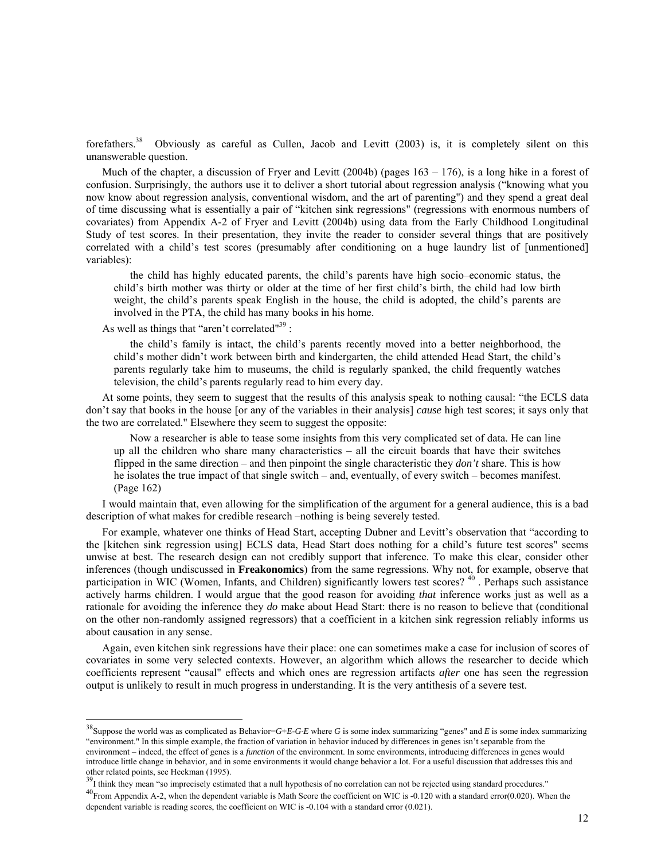forefathers.<sup>38</sup> Obviously as careful as Cullen, Jacob and Levitt (2003) is, it is completely silent on this unanswerable question.

Much of the chapter, a discussion of Fryer and Levitt (2004b) (pages 163 – 176), is a long hike in a forest of confusion. Surprisingly, the authors use it to deliver a short tutorial about regression analysis ("knowing what you now know about regression analysis, conventional wisdom, and the art of parenting") and they spend a great deal of time discussing what is essentially a pair of "kitchen sink regressions" (regressions with enormous numbers of covariates) from Appendix A-2 of Fryer and Levitt (2004b) using data from the Early Childhood Longitudinal Study of test scores. In their presentation, they invite the reader to consider several things that are positively correlated with a child's test scores (presumably after conditioning on a huge laundry list of [unmentioned] variables):

the child has highly educated parents, the child's parents have high socio–economic status, the child's birth mother was thirty or older at the time of her first child's birth, the child had low birth weight, the child's parents speak English in the house, the child is adopted, the child's parents are involved in the PTA, the child has many books in his home.

As well as things that "aren't correlated"<sup>39</sup> :

 $\overline{a}$ 

the child's family is intact, the child's parents recently moved into a better neighborhood, the child's mother didn't work between birth and kindergarten, the child attended Head Start, the child's parents regularly take him to museums, the child is regularly spanked, the child frequently watches television, the child's parents regularly read to him every day.

At some points, they seem to suggest that the results of this analysis speak to nothing causal: "the ECLS data don't say that books in the house [or any of the variables in their analysis] *cause* high test scores; it says only that the two are correlated." Elsewhere they seem to suggest the opposite:

Now a researcher is able to tease some insights from this very complicated set of data. He can line up all the children who share many characteristics – all the circuit boards that have their switches flipped in the same direction – and then pinpoint the single characteristic they *don't* share. This is how he isolates the true impact of that single switch – and, eventually, of every switch – becomes manifest. (Page 162)

I would maintain that, even allowing for the simplification of the argument for a general audience, this is a bad description of what makes for credible research –nothing is being severely tested.

For example, whatever one thinks of Head Start, accepting Dubner and Levitt's observation that "according to the [kitchen sink regression using] ECLS data, Head Start does nothing for a child's future test scores" seems unwise at best. The research design can not credibly support that inference. To make this clear, consider other inferences (though undiscussed in **Freakonomics**) from the same regressions. Why not, for example, observe that participation in WIC (Women, Infants, and Children) significantly lowers test scores?  $40$ . Perhaps such assistance actively harms children. I would argue that the good reason for avoiding *that* inference works just as well as a rationale for avoiding the inference they *do* make about Head Start: there is no reason to believe that (conditional on the other non-randomly assigned regressors) that a coefficient in a kitchen sink regression reliably informs us about causation in any sense.

Again, even kitchen sink regressions have their place: one can sometimes make a case for inclusion of scores of covariates in some very selected contexts. However, an algorithm which allows the researcher to decide which coefficients represent "causal" effects and which ones are regression artifacts *after* one has seen the regression output is unlikely to result in much progress in understanding. It is the very antithesis of a severe test.

<sup>38</sup>Suppose the world was as complicated as Behavior=*G*+*E*-*G*⋅*E* where *G* is some index summarizing "genes" and *E* is some index summarizing "environment." In this simple example, the fraction of variation in behavior induced by differences in genes isn't separable from the environment – indeed, the effect of genes is a *function* of the environment. In some environments, introducing differences in genes would introduce little change in behavior, and in some environments it would change behavior a lot. For a useful discussion that addresses this and other related points, see Heckman (1995).<br><sup>39</sup>I think they mean "so imprecisely estimated that a null hypothesis of no correlation can not be rejected using standard procedures."

 $^{40}$ From Appendix A-2, when the dependent variable is Math Score the coefficient on WIC is -0.120 with a standard error(0.020). When the dependent variable is reading scores, the coefficient on WIC is -0.104 with a standard error (0.021).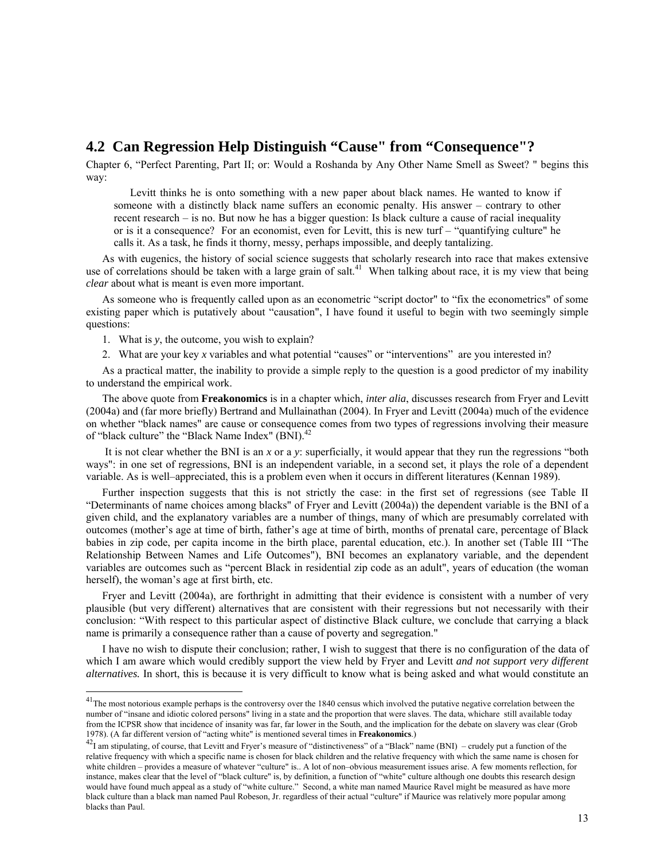## **4.2 Can Regression Help Distinguish "Cause" from "Consequence"?**

Chapter 6, "Perfect Parenting, Part II; or: Would a Roshanda by Any Other Name Smell as Sweet? " begins this way:

Levitt thinks he is onto something with a new paper about black names. He wanted to know if someone with a distinctly black name suffers an economic penalty. His answer – contrary to other recent research – is no. But now he has a bigger question: Is black culture a cause of racial inequality or is it a consequence? For an economist, even for Levitt, this is new turf – "quantifying culture" he calls it. As a task, he finds it thorny, messy, perhaps impossible, and deeply tantalizing.

As with eugenics, the history of social science suggests that scholarly research into race that makes extensive use of correlations should be taken with a large grain of salt.<sup>41</sup> When talking about race, it is my view that being *clear* about what is meant is even more important.

As someone who is frequently called upon as an econometric "script doctor" to "fix the econometrics" of some existing paper which is putatively about "causation", I have found it useful to begin with two seemingly simple questions:

1. What is *y*, the outcome, you wish to explain?

 $\overline{a}$ 

2. What are your key *x* variables and what potential "causes" or "interventions" are you interested in?

As a practical matter, the inability to provide a simple reply to the question is a good predictor of my inability to understand the empirical work.

The above quote from **Freakonomics** is in a chapter which, *inter alia*, discusses research from Fryer and Levitt (2004a) and (far more briefly) Bertrand and Mullainathan (2004). In Fryer and Levitt (2004a) much of the evidence on whether "black names" are cause or consequence comes from two types of regressions involving their measure of "black culture" the "Black Name Index" (BNI).<sup>42</sup>

 It is not clear whether the BNI is an *x* or a *y*: superficially, it would appear that they run the regressions "both ways": in one set of regressions, BNI is an independent variable, in a second set, it plays the role of a dependent variable. As is well–appreciated, this is a problem even when it occurs in different literatures (Kennan 1989).

Further inspection suggests that this is not strictly the case: in the first set of regressions (see Table II "Determinants of name choices among blacks" of Fryer and Levitt (2004a)) the dependent variable is the BNI of a given child, and the explanatory variables are a number of things, many of which are presumably correlated with outcomes (mother's age at time of birth, father's age at time of birth, months of prenatal care, percentage of Black babies in zip code, per capita income in the birth place, parental education, etc.). In another set (Table III "The Relationship Between Names and Life Outcomes"), BNI becomes an explanatory variable, and the dependent variables are outcomes such as "percent Black in residential zip code as an adult", years of education (the woman herself), the woman's age at first birth, etc.

Fryer and Levitt (2004a), are forthright in admitting that their evidence is consistent with a number of very plausible (but very different) alternatives that are consistent with their regressions but not necessarily with their conclusion: "With respect to this particular aspect of distinctive Black culture, we conclude that carrying a black name is primarily a consequence rather than a cause of poverty and segregation."

I have no wish to dispute their conclusion; rather, I wish to suggest that there is no configuration of the data of which I am aware which would credibly support the view held by Fryer and Levitt *and not support very different alternatives.* In short, this is because it is very difficult to know what is being asked and what would constitute an

<sup>&</sup>lt;sup>41</sup>The most notorious example perhaps is the controversy over the 1840 census which involved the putative negative correlation between the number of "insane and idiotic colored persons" living in a state and the proportion that were slaves. The data, whichare still available today from the ICPSR show that incidence of insanity was far, far lower in the South, and the implication for the debate on slavery was clear (Grob 1978). (A far different version of "acting white" is mentioned several times in **Freakonomics**.)<br><sup>42</sup>I am stipulating, of course, that Levitt and Fryer's measure of "distinctiveness" of a "Black" name (BNI) – crudely put

relative frequency with which a specific name is chosen for black children and the relative frequency with which the same name is chosen for white children – provides a measure of whatever "culture" is.. A lot of non–obvious measurement issues arise. A few moments reflection, for instance, makes clear that the level of "black culture" is, by definition, a function of "white" culture although one doubts this research design would have found much appeal as a study of "white culture." Second, a white man named Maurice Ravel might be measured as have more black culture than a black man named Paul Robeson, Jr. regardless of their actual "culture" if Maurice was relatively more popular among blacks than Paul.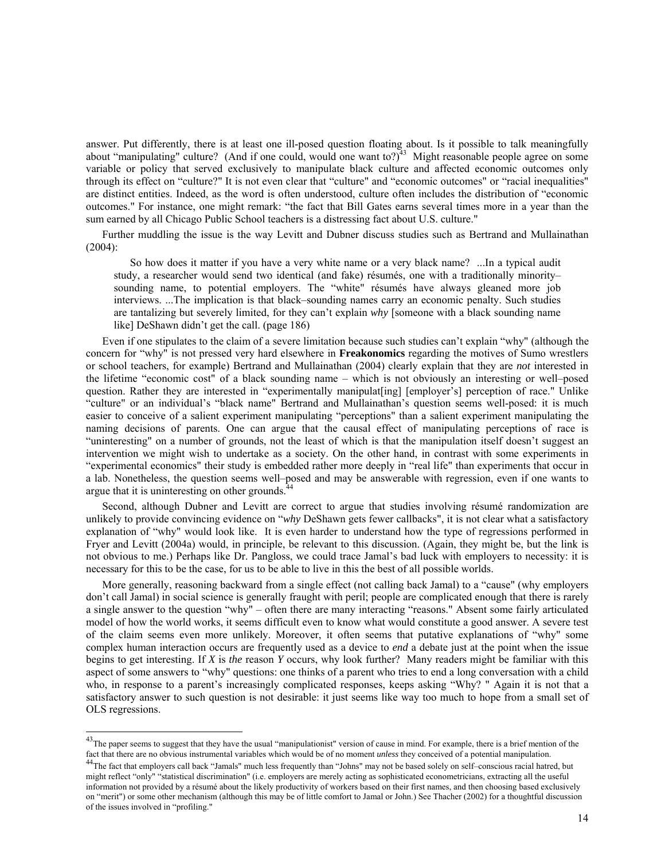answer. Put differently, there is at least one ill-posed question floating about. Is it possible to talk meaningfully about "manipulating" culture? (And if one could, would one want to?) $43$  Might reasonable people agree on some variable or policy that served exclusively to manipulate black culture and affected economic outcomes only through its effect on "culture?" It is not even clear that "culture" and "economic outcomes" or "racial inequalities" are distinct entities. Indeed, as the word is often understood, culture often includes the distribution of "economic outcomes." For instance, one might remark: "the fact that Bill Gates earns several times more in a year than the sum earned by all Chicago Public School teachers is a distressing fact about U.S. culture."

Further muddling the issue is the way Levitt and Dubner discuss studies such as Bertrand and Mullainathan (2004):

So how does it matter if you have a very white name or a very black name? ...In a typical audit study, a researcher would send two identical (and fake) résumés, one with a traditionally minority– sounding name, to potential employers. The "white" résumés have always gleaned more job interviews. ...The implication is that black–sounding names carry an economic penalty. Such studies are tantalizing but severely limited, for they can't explain *why* [someone with a black sounding name like] DeShawn didn't get the call. (page 186)

Even if one stipulates to the claim of a severe limitation because such studies can't explain "why" (although the concern for "why" is not pressed very hard elsewhere in **Freakonomics** regarding the motives of Sumo wrestlers or school teachers, for example) Bertrand and Mullainathan (2004) clearly explain that they are *not* interested in the lifetime "economic cost" of a black sounding name – which is not obviously an interesting or well–posed question. Rather they are interested in "experimentally manipulat [ing] [employer's] perception of race." Unlike "culture" or an individual's "black name" Bertrand and Mullainathan's question seems well-posed: it is much easier to conceive of a salient experiment manipulating "perceptions" than a salient experiment manipulating the naming decisions of parents. One can argue that the causal effect of manipulating perceptions of race is "uninteresting" on a number of grounds, not the least of which is that the manipulation itself doesn't suggest an intervention we might wish to undertake as a society. On the other hand, in contrast with some experiments in "experimental economics" their study is embedded rather more deeply in "real life" than experiments that occur in a lab. Nonetheless, the question seems well–posed and may be answerable with regression, even if one wants to argue that it is uninteresting on other grounds. $4$ 

Second, although Dubner and Levitt are correct to argue that studies involving résumé randomization are unlikely to provide convincing evidence on "*why* DeShawn gets fewer callbacks", it is not clear what a satisfactory explanation of "why" would look like. It is even harder to understand how the type of regressions performed in Fryer and Levitt (2004a) would, in principle, be relevant to this discussion. (Again, they might be, but the link is not obvious to me.) Perhaps like Dr. Pangloss, we could trace Jamal's bad luck with employers to necessity: it is necessary for this to be the case, for us to be able to live in this the best of all possible worlds.

More generally, reasoning backward from a single effect (not calling back Jamal) to a "cause" (why employers don't call Jamal) in social science is generally fraught with peril; people are complicated enough that there is rarely a single answer to the question "why" – often there are many interacting "reasons." Absent some fairly articulated model of how the world works, it seems difficult even to know what would constitute a good answer. A severe test of the claim seems even more unlikely. Moreover, it often seems that putative explanations of "why" some complex human interaction occurs are frequently used as a device to *end* a debate just at the point when the issue begins to get interesting. If *X* is *the* reason *Y* occurs, why look further? Many readers might be familiar with this aspect of some answers to "why" questions: one thinks of a parent who tries to end a long conversation with a child who, in response to a parent's increasingly complicated responses, keeps asking "Why? " Again it is not that a satisfactory answer to such question is not desirable: it just seems like way too much to hope from a small set of OLS regressions.

 $^{43}$ The paper seems to suggest that they have the usual "manipulationist" version of cause in mind. For example, there is a brief mention of the fact that there are no obvious instrumental variables which would be of no

<sup>&</sup>lt;sup>44</sup>The fact that employers call back "Jamals" much less frequently than "Johns" may not be based solely on self-conscious racial hatred, but might reflect "only" "statistical discrimination" (i.e. employers are merely acting as sophisticated econometricians, extracting all the useful information not provided by a résumé about the likely productivity of workers based on their first names, and then choosing based exclusively on "merit") or some other mechanism (although this may be of little comfort to Jamal or John.) See Thacher (2002) for a thoughtful discussion of the issues involved in "profiling."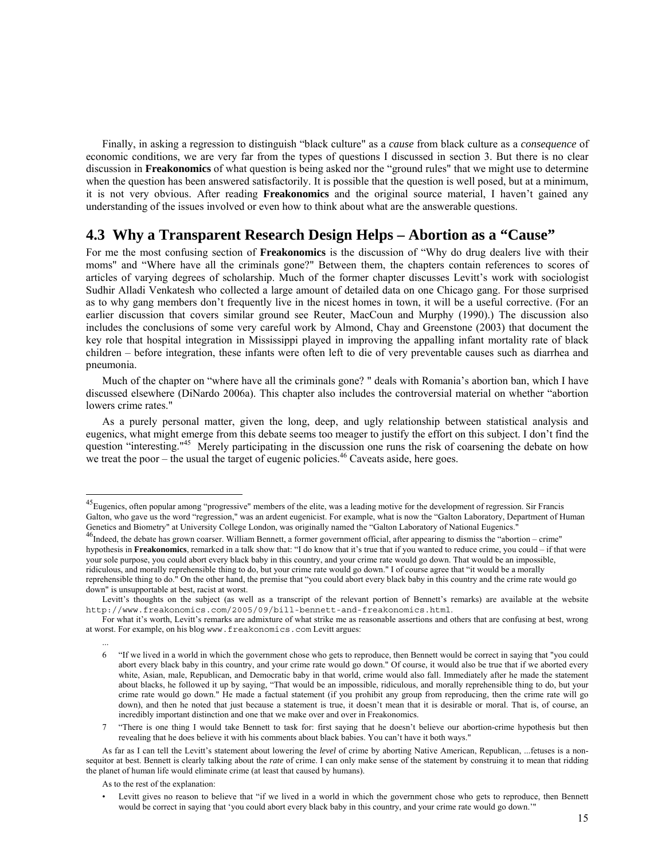Finally, in asking a regression to distinguish "black culture" as a *cause* from black culture as a *consequence* of economic conditions, we are very far from the types of questions I discussed in section 3. But there is no clear discussion in **Freakonomics** of what question is being asked nor the "ground rules" that we might use to determine when the question has been answered satisfactorily. It is possible that the question is well posed, but at a minimum, it is not very obvious. After reading **Freakonomics** and the original source material, I haven't gained any understanding of the issues involved or even how to think about what are the answerable questions.

## **4.3 Why a Transparent Research Design Helps – Abortion as a "Cause"**

For me the most confusing section of **Freakonomics** is the discussion of "Why do drug dealers live with their moms" and "Where have all the criminals gone?" Between them, the chapters contain references to scores of articles of varying degrees of scholarship. Much of the former chapter discusses Levitt's work with sociologist Sudhir Alladi Venkatesh who collected a large amount of detailed data on one Chicago gang. For those surprised as to why gang members don't frequently live in the nicest homes in town, it will be a useful corrective. (For an earlier discussion that covers similar ground see Reuter, MacCoun and Murphy (1990).) The discussion also includes the conclusions of some very careful work by Almond, Chay and Greenstone (2003) that document the key role that hospital integration in Mississippi played in improving the appalling infant mortality rate of black children – before integration, these infants were often left to die of very preventable causes such as diarrhea and pneumonia.

Much of the chapter on "where have all the criminals gone? " deals with Romania's abortion ban, which I have discussed elsewhere (DiNardo 2006a). This chapter also includes the controversial material on whether "abortion lowers crime rates."

As a purely personal matter, given the long, deep, and ugly relationship between statistical analysis and eugenics, what might emerge from this debate seems too meager to justify the effort on this subject. I don't find the question "interesting."<sup>45</sup> Merely participating in the discussion one runs the risk of coarsening the debate on how we treat the poor – the usual the target of eugenic policies.<sup>46</sup> Caveats aside, here goes.

 $\overline{\phantom{a}}$ 

...

<sup>&</sup>lt;sup>45</sup>Eugenics, often popular among "progressive" members of the elite, was a leading motive for the development of regression. Sir Francis Galton, who gave us the word "regression," was an ardent eugenicist. For example, what is now the "Galton Laboratory, Department of Human Genetics and Biometry" at University College London, was originally named the "Galton Laboratory of National Eugenics."<br><sup>46</sup>Indeed, the debate has grown coarser. William Bennett, a former government official, after appeari

hypothesis in **Freakonomics**, remarked in a talk show that: "I do know that it's true that if you wanted to reduce crime, you could – if that were your sole purpose, you could abort every black baby in this country, and your crime rate would go down. That would be an impossible, ridiculous, and morally reprehensible thing to do, but your crime rate would go down." I of course agree that "it would be a morally reprehensible thing to do." On the other hand, the premise that "you could abort every black baby in this country and the crime rate would go down" is unsupportable at best, racist at worst.

Levitt's thoughts on the subject (as well as a transcript of the relevant portion of Bennett's remarks) are available at the website http://www.freakonomics.com/2005/09/bill-bennett-and-freakonomics.html.

For what it's worth, Levitt's remarks are admixture of what strike me as reasonable assertions and others that are confusing at best, wrong at worst. For example, on his blog www.freakonomics.com Levitt argues:

<sup>6 &</sup>quot;If we lived in a world in which the government chose who gets to reproduce, then Bennett would be correct in saying that "you could abort every black baby in this country, and your crime rate would go down." Of course, it would also be true that if we aborted every white, Asian, male, Republican, and Democratic baby in that world, crime would also fall. Immediately after he made the statement about blacks, he followed it up by saying, "That would be an impossible, ridiculous, and morally reprehensible thing to do, but your crime rate would go down." He made a factual statement (if you prohibit any group from reproducing, then the crime rate will go down), and then he noted that just because a statement is true, it doesn't mean that it is desirable or moral. That is, of course, an incredibly important distinction and one that we make over and over in Freakonomics.

<sup>7 &</sup>quot;There is one thing I would take Bennett to task for: first saying that he doesn't believe our abortion-crime hypothesis but then revealing that he does believe it with his comments about black babies. You can't have it both ways."

As far as I can tell the Levitt's statement about lowering the *level* of crime by aborting Native American, Republican, ...fetuses is a nonsequitor at best. Bennett is clearly talking about the *rate* of crime. I can only make sense of the statement by construing it to mean that ridding the planet of human life would eliminate crime (at least that caused by humans).

As to the rest of the explanation:

Levitt gives no reason to believe that "if we lived in a world in which the government chose who gets to reproduce, then Bennett would be correct in saying that 'you could abort every black baby in this country, and your crime rate would go down.'"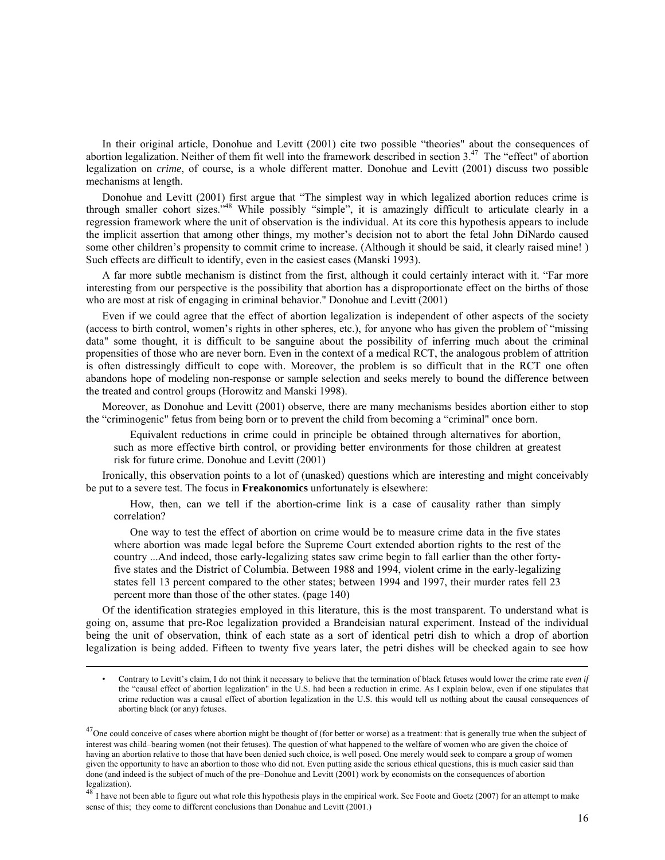In their original article, Donohue and Levitt (2001) cite two possible "theories" about the consequences of abortion legalization. Neither of them fit well into the framework described in section  $3<sup>47</sup>$ . The "effect" of abortion legalization on *crime*, of course, is a whole different matter. Donohue and Levitt (2001) discuss two possible mechanisms at length.

Donohue and Levitt (2001) first argue that "The simplest way in which legalized abortion reduces crime is through smaller cohort sizes."48 While possibly "simple", it is amazingly difficult to articulate clearly in a regression framework where the unit of observation is the individual. At its core this hypothesis appears to include the implicit assertion that among other things, my mother's decision not to abort the fetal John DiNardo caused some other children's propensity to commit crime to increase. (Although it should be said, it clearly raised mine! ) Such effects are difficult to identify, even in the easiest cases (Manski 1993).

A far more subtle mechanism is distinct from the first, although it could certainly interact with it. "Far more interesting from our perspective is the possibility that abortion has a disproportionate effect on the births of those who are most at risk of engaging in criminal behavior." Donohue and Levitt (2001)

Even if we could agree that the effect of abortion legalization is independent of other aspects of the society (access to birth control, women's rights in other spheres, etc.), for anyone who has given the problem of "missing data" some thought, it is difficult to be sanguine about the possibility of inferring much about the criminal propensities of those who are never born. Even in the context of a medical RCT, the analogous problem of attrition is often distressingly difficult to cope with. Moreover, the problem is so difficult that in the RCT one often abandons hope of modeling non-response or sample selection and seeks merely to bound the difference between the treated and control groups (Horowitz and Manski 1998).

Moreover, as Donohue and Levitt (2001) observe, there are many mechanisms besides abortion either to stop the "criminogenic" fetus from being born or to prevent the child from becoming a "criminal" once born.

Equivalent reductions in crime could in principle be obtained through alternatives for abortion, such as more effective birth control, or providing better environments for those children at greatest risk for future crime. Donohue and Levitt (2001)

Ironically, this observation points to a lot of (unasked) questions which are interesting and might conceivably be put to a severe test. The focus in **Freakonomics** unfortunately is elsewhere:

How, then, can we tell if the abortion-crime link is a case of causality rather than simply correlation?

One way to test the effect of abortion on crime would be to measure crime data in the five states where abortion was made legal before the Supreme Court extended abortion rights to the rest of the country ...And indeed, those early-legalizing states saw crime begin to fall earlier than the other fortyfive states and the District of Columbia. Between 1988 and 1994, violent crime in the early-legalizing states fell 13 percent compared to the other states; between 1994 and 1997, their murder rates fell 23 percent more than those of the other states. (page 140)

Of the identification strategies employed in this literature, this is the most transparent. To understand what is going on, assume that pre-Roe legalization provided a Brandeisian natural experiment. Instead of the individual being the unit of observation, think of each state as a sort of identical petri dish to which a drop of abortion legalization is being added. Fifteen to twenty five years later, the petri dishes will be checked again to see how

<sup>•</sup> Contrary to Levitt's claim, I do not think it necessary to believe that the termination of black fetuses would lower the crime rate *even if* the "causal effect of abortion legalization" in the U.S. had been a reduction in crime. As I explain below, even if one stipulates that crime reduction was a causal effect of abortion legalization in the U.S. this would tell us nothing about the causal consequences of aborting black (or any) fetuses.

 $^{47}$ One could conceive of cases where abortion might be thought of (for better or worse) as a treatment: that is generally true when the subject of interest was child–bearing women (not their fetuses). The question of what happened to the welfare of women who are given the choice of having an abortion relative to those that have been denied such choice, is well posed. One merely would seek to compare a group of women given the opportunity to have an abortion to those who did not. Even putting aside the serious ethical questions, this is much easier said than done (and indeed is the subject of much of the pre–Donohue and Levitt (2001) work by economists on the consequences of abortion legalization).

<sup>&</sup>lt;sup>48</sup> I have not been able to figure out what role this hypothesis plays in the empirical work. See Foote and Goetz (2007) for an attempt to make sense of this; they come to different conclusions than Donahue and Levitt (2001.)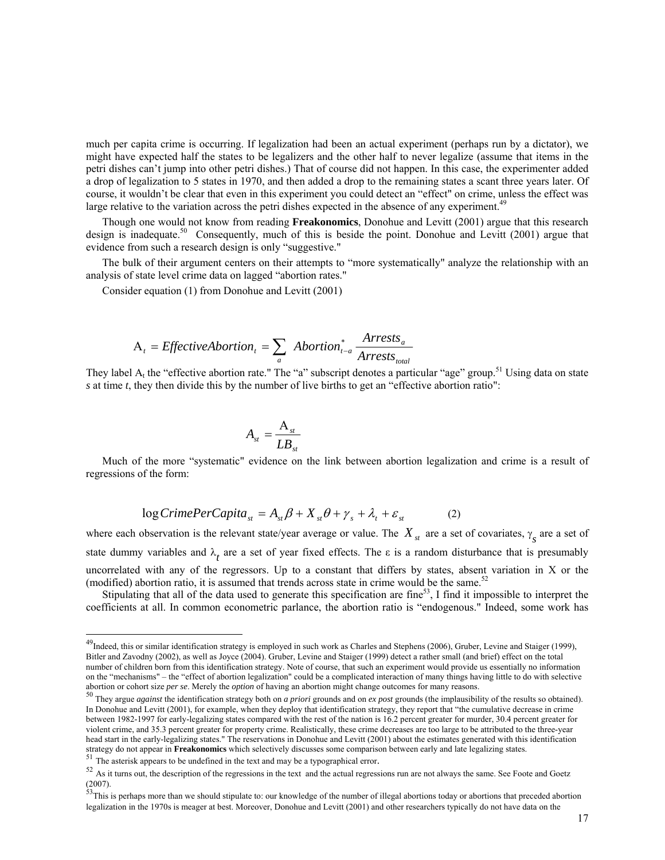much per capita crime is occurring. If legalization had been an actual experiment (perhaps run by a dictator), we might have expected half the states to be legalizers and the other half to never legalize (assume that items in the petri dishes can't jump into other petri dishes.) That of course did not happen. In this case, the experimenter added a drop of legalization to 5 states in 1970, and then added a drop to the remaining states a scant three years later. Of course, it wouldn't be clear that even in this experiment you could detect an "effect" on crime, unless the effect was large relative to the variation across the petri dishes expected in the absence of any experiment.<sup>49</sup>

Though one would not know from reading **Freakonomics**, Donohue and Levitt (2001) argue that this research design is inadequate.<sup>50</sup> Consequently, much of this is beside the point. Donohue and Levitt (2001) argue that evidence from such a research design is only "suggestive."

The bulk of their argument centers on their attempts to "more systematically" analyze the relationship with an analysis of state level crime data on lagged "abortion rates."

Consider equation (1) from Donohue and Levitt (2001)

$$
A_{t} = EffectiveAbortion_{t} = \sum_{a} Abortion_{t-a}^{*} \frac{Arrests_{a}}{Arrests_{total}}
$$

They label  $A_t$  the "effective abortion rate." The "a" subscript denotes a particular "age" group.<sup>51</sup> Using data on state *s* at time *t*, they then divide this by the number of live births to get an "effective abortion ratio":

$$
A_{st} = \frac{A_{st}}{LB_{st}}
$$

Much of the more "systematic" evidence on the link between abortion legalization and crime is a result of regressions of the form:

$$
\log C \text{rimePerCapita}_{st} = A_{st} \beta + X_{st} \theta + \gamma_s + \lambda_t + \varepsilon_{st} \tag{2}
$$

where each observation is the relevant state/year average or value. The  $X_{st}$  are a set of covariates,  $\gamma_s$  are a set of state dummy variables and  $\lambda_t$  are a set of year fixed effects. The  $\varepsilon$  is a random disturbance that is presumably uncorrelated with any of the regressors. Up to a constant that differs by states, absent variation in X or the (modified) abortion ratio, it is assumed that trends across state in crime would be the same.<sup>52</sup>

Stipulating that all of the data used to generate this specification are fine<sup>53</sup>, I find it impossible to interpret the coefficients at all. In common econometric parlance, the abortion ratio is "endogenous." Indeed, some work has

 $\overline{\phantom{a}}$ 

 $^{49}$ Indeed, this or similar identification strategy is employed in such work as Charles and Stephens (2006), Gruber, Levine and Staiger (1999), Bitler and Zavodny (2002), as well as Joyce (2004). Gruber, Levine and Staiger (1999) detect a rather small (and brief) effect on the total number of children born from this identification strategy. Note of course, that such an experiment would provide us essentially no information on the "mechanisms" – the "effect of abortion legalization" could be a complicated interaction of many things having little to do with selective

abortion or cohort size *per se*. Merely the *option* of having an abortion might change outcomes for many reasons.<br><sup>50</sup> They argue *against* the identification strategy both on *a priori* grounds and on *ex post* grounds In Donohue and Levitt (2001), for example, when they deploy that identification strategy, they report that "the cumulative decrease in crime between 1982-1997 for early-legalizing states compared with the rest of the nation is 16.2 percent greater for murder, 30.4 percent greater for violent crime, and 35.3 percent greater for property crime. Realistically, these crime decreases are too large to be attributed to the three-year head start in the early-legalizing states." The reservations in Donohue and Levitt (2001) about the estimates generated with this identification stategy do not appear in **Freakonomics** which selectively discusses some comparison between early and late legalizing states.<br><sup>51</sup> The asterisk appears to be undefined in the text and may be a typographical error.<br><sup>52</sup> As

<sup>(2007).&</sup>lt;br><sup>53</sup>This is perhaps more than we should stipulate to: our knowledge of the number of illegal abortions today or abortions that preceded abortion

legalization in the 1970s is meager at best. Moreover, Donohue and Levitt (2001) and other researchers typically do not have data on the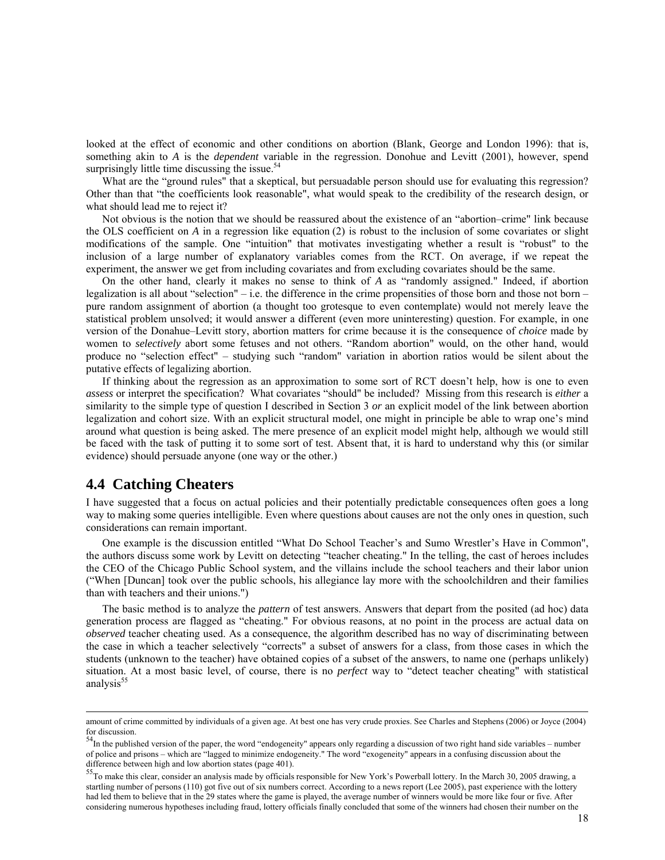looked at the effect of economic and other conditions on abortion (Blank, George and London 1996): that is, something akin to *A* is the *dependent* variable in the regression. Donohue and Levitt (2001), however, spend surprisingly little time discussing the issue. $54$ 

What are the "ground rules" that a skeptical, but persuadable person should use for evaluating this regression? Other than that "the coefficients look reasonable", what would speak to the credibility of the research design, or what should lead me to reject it?

Not obvious is the notion that we should be reassured about the existence of an "abortion–crime" link because the OLS coefficient on *A* in a regression like equation (2) is robust to the inclusion of some covariates or slight modifications of the sample. One "intuition" that motivates investigating whether a result is "robust" to the inclusion of a large number of explanatory variables comes from the RCT. On average, if we repeat the experiment, the answer we get from including covariates and from excluding covariates should be the same.

On the other hand, clearly it makes no sense to think of *A* as "randomly assigned." Indeed, if abortion legalization is all about "selection" – i.e. the difference in the crime propensities of those born and those not born – pure random assignment of abortion (a thought too grotesque to even contemplate) would not merely leave the statistical problem unsolved; it would answer a different (even more uninteresting) question. For example, in one version of the Donahue–Levitt story, abortion matters for crime because it is the consequence of *choice* made by women to *selectively* abort some fetuses and not others. "Random abortion" would, on the other hand, would produce no "selection effect" – studying such "random" variation in abortion ratios would be silent about the putative effects of legalizing abortion.

If thinking about the regression as an approximation to some sort of RCT doesn't help, how is one to even *assess* or interpret the specification? What covariates "should" be included? Missing from this research is *either* a similarity to the simple type of question I described in Section 3 *or* an explicit model of the link between abortion legalization and cohort size. With an explicit structural model, one might in principle be able to wrap one's mind around what question is being asked. The mere presence of an explicit model might help, although we would still be faced with the task of putting it to some sort of test. Absent that, it is hard to understand why this (or similar evidence) should persuade anyone (one way or the other.)

## **4.4 Catching Cheaters**

I have suggested that a focus on actual policies and their potentially predictable consequences often goes a long way to making some queries intelligible. Even where questions about causes are not the only ones in question, such considerations can remain important.

One example is the discussion entitled "What Do School Teacher's and Sumo Wrestler's Have in Common", the authors discuss some work by Levitt on detecting "teacher cheating." In the telling, the cast of heroes includes the CEO of the Chicago Public School system, and the villains include the school teachers and their labor union ("When [Duncan] took over the public schools, his allegiance lay more with the schoolchildren and their families than with teachers and their unions.")

The basic method is to analyze the *pattern* of test answers. Answers that depart from the posited (ad hoc) data generation process are flagged as "cheating." For obvious reasons, at no point in the process are actual data on *observed* teacher cheating used. As a consequence, the algorithm described has no way of discriminating between the case in which a teacher selectively "corrects" a subset of answers for a class, from those cases in which the students (unknown to the teacher) have obtained copies of a subset of the answers, to name one (perhaps unlikely) situation. At a most basic level, of course, there is no *perfect* way to "detect teacher cheating" with statistical analysis $55$ 

amount of crime committed by individuals of a given age. At best one has very crude proxies. See Charles and Stephens (2006) or Joyce (2004) for discussion.

 $54$ In the published version of the paper, the word "endogeneity" appears only regarding a discussion of two right hand side variables – number of police and prisons – which are "lagged to minimize endogeneity." The word "exogeneity" appears in a confusing discussion about the difference between high and low abortion states (page 401).

<sup>&</sup>lt;sup>55</sup>To make this clear, consider an analysis made by officials responsible for New York's Powerball lottery. In the March 30, 2005 drawing, a startling number of persons (110) got five out of six numbers correct. According to a news report (Lee 2005), past experience with the lottery had led them to believe that in the 29 states where the game is played, the average number of winners would be more like four or five. After considering numerous hypotheses including fraud, lottery officials finally concluded that some of the winners had chosen their number on the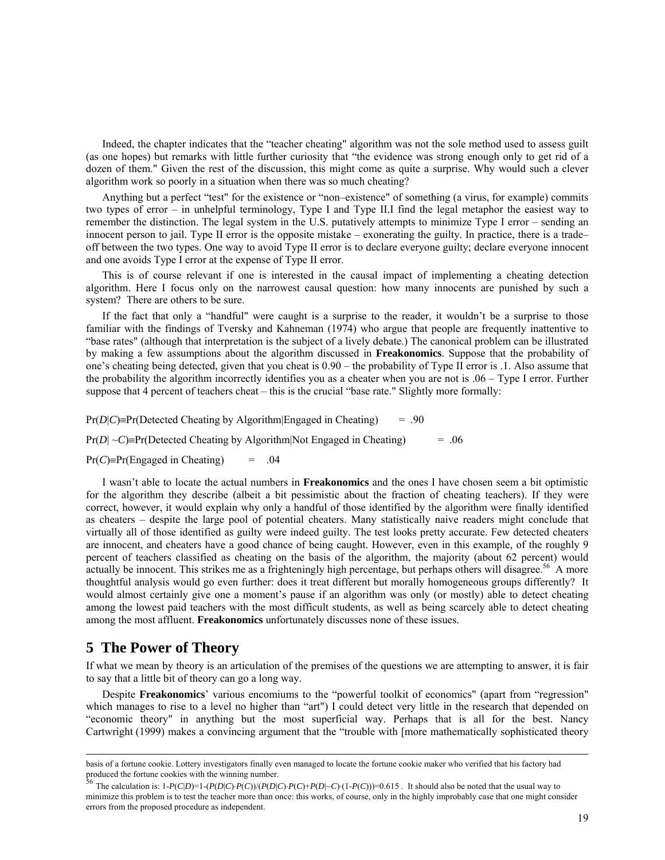Indeed, the chapter indicates that the "teacher cheating" algorithm was not the sole method used to assess guilt (as one hopes) but remarks with little further curiosity that "the evidence was strong enough only to get rid of a dozen of them." Given the rest of the discussion, this might come as quite a surprise. Why would such a clever algorithm work so poorly in a situation when there was so much cheating?

Anything but a perfect "test" for the existence or "non–existence" of something (a virus, for example) commits two types of error – in unhelpful terminology, Type I and Type II.I find the legal metaphor the easiest way to remember the distinction. The legal system in the U.S. putatively attempts to minimize Type I error – sending an innocent person to jail. Type II error is the opposite mistake – exonerating the guilty. In practice, there is a trade– off between the two types. One way to avoid Type II error is to declare everyone guilty; declare everyone innocent and one avoids Type I error at the expense of Type II error.

This is of course relevant if one is interested in the causal impact of implementing a cheating detection algorithm. Here I focus only on the narrowest causal question: how many innocents are punished by such a system? There are others to be sure.

If the fact that only a "handful" were caught is a surprise to the reader, it wouldn't be a surprise to those familiar with the findings of Tversky and Kahneman (1974) who argue that people are frequently inattentive to "base rates" (although that interpretation is the subject of a lively debate.) The canonical problem can be illustrated by making a few assumptions about the algorithm discussed in **Freakonomics**. Suppose that the probability of one's cheating being detected, given that you cheat is 0.90 – the probability of Type II error is .1. Also assume that the probability the algorithm incorrectly identifies you as a cheater when you are not is .06 – Type I error. Further suppose that 4 percent of teachers cheat – this is the crucial "base rate." Slightly more formally:

 $Pr(D|C) = Pr(Detected Cheating by Algorithm | Engaged in Cheating)$  = .90

 $Pr(D|\sim C)$ =Pr(Detected Cheating by Algorithm|Not Engaged in Cheating) = .06

 $Pr(C) = Pr(Engaged in Cheating) = .04$ 

I wasn't able to locate the actual numbers in **Freakonomics** and the ones I have chosen seem a bit optimistic for the algorithm they describe (albeit a bit pessimistic about the fraction of cheating teachers). If they were correct, however, it would explain why only a handful of those identified by the algorithm were finally identified as cheaters – despite the large pool of potential cheaters. Many statistically naive readers might conclude that virtually all of those identified as guilty were indeed guilty. The test looks pretty accurate. Few detected cheaters are innocent, and cheaters have a good chance of being caught. However, even in this example, of the roughly 9 percent of teachers classified as cheating on the basis of the algorithm, the majority (about 62 percent) would actually be innocent. This strikes me as a frighteningly high percentage, but perhaps others will disagree.<sup>56</sup> A more thoughtful analysis would go even further: does it treat different but morally homogeneous groups differently? It would almost certainly give one a moment's pause if an algorithm was only (or mostly) able to detect cheating among the lowest paid teachers with the most difficult students, as well as being scarcely able to detect cheating among the most affluent. **Freakonomics** unfortunately discusses none of these issues.

#### **5 The Power of Theory**

If what we mean by theory is an articulation of the premises of the questions we are attempting to answer, it is fair to say that a little bit of theory can go a long way.

Despite **Freakonomics**' various encomiums to the "powerful toolkit of economics" (apart from "regression" which manages to rise to a level no higher than "art") I could detect very little in the research that depended on "economic theory" in anything but the most superficial way. Perhaps that is all for the best. Nancy Cartwright (1999) makes a convincing argument that the "trouble with [more mathematically sophisticated theory

basis of a fortune cookie. Lottery investigators finally even managed to locate the fortune cookie maker who verified that his factory had produced the fortune cookies with the winning number.<br>56 Theory 1.1 and 2.0 Theory 1.1 and 2.0 Theory 1.1 and 2.0 Theory 1.1 and 2.0 Theory 1.1 and 2.0 Theory 1.1 and 2.0 Theory 1.1 and 2.0 Theory 1.1 and 2.0 Theory 1.1 an

The calculation is:  $1-P(C|D)=1-(P(D|C)\cdot P(C))/(P(D|C)\cdot P(C)+P(D|\sim C)\cdot(1-P(C)))=0.615$ . It should also be noted that the usual way to minimize this problem is to test the teacher more than once: this works, of course, only in the highly improbably case that one might consider errors from the proposed procedure as independent.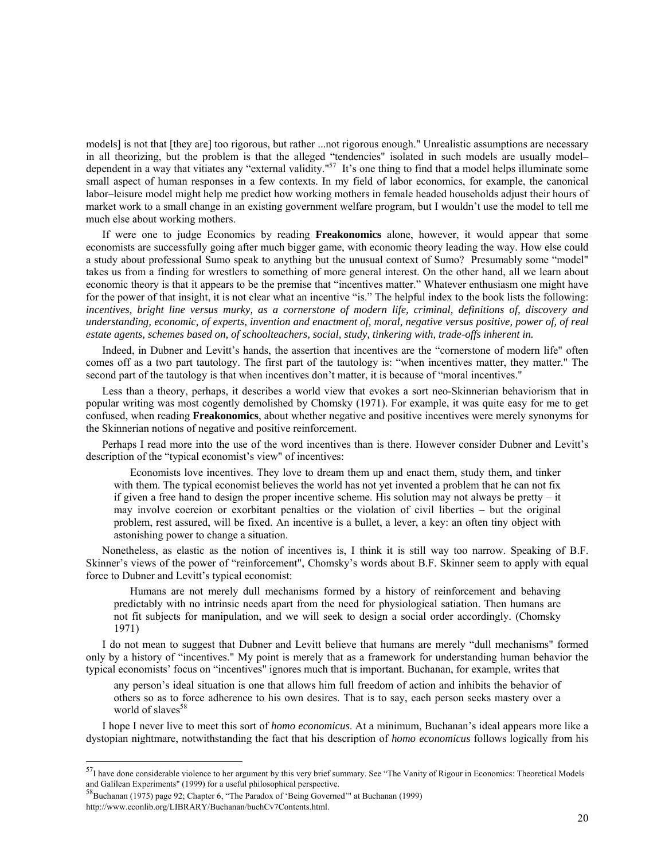models] is not that [they are] too rigorous, but rather ...not rigorous enough." Unrealistic assumptions are necessary in all theorizing, but the problem is that the alleged "tendencies" isolated in such models are usually model– dependent in a way that vitiates any "external validity."<sup>57</sup> It's one thing to find that a model helps illuminate some small aspect of human responses in a few contexts. In my field of labor economics, for example, the canonical labor–leisure model might help me predict how working mothers in female headed households adjust their hours of market work to a small change in an existing government welfare program, but I wouldn't use the model to tell me much else about working mothers.

If were one to judge Economics by reading **Freakonomics** alone, however, it would appear that some economists are successfully going after much bigger game, with economic theory leading the way. How else could a study about professional Sumo speak to anything but the unusual context of Sumo? Presumably some "model" takes us from a finding for wrestlers to something of more general interest. On the other hand, all we learn about economic theory is that it appears to be the premise that "incentives matter." Whatever enthusiasm one might have for the power of that insight, it is not clear what an incentive "is." The helpful index to the book lists the following: *incentives, bright line versus murky, as a cornerstone of modern life, criminal, definitions of, discovery and understanding, economic, of experts, invention and enactment of, moral, negative versus positive, power of, of real estate agents, schemes based on, of schoolteachers, social, study, tinkering with, trade-offs inherent in.*

Indeed, in Dubner and Levitt's hands, the assertion that incentives are the "cornerstone of modern life" often comes off as a two part tautology. The first part of the tautology is: "when incentives matter, they matter." The second part of the tautology is that when incentives don't matter, it is because of "moral incentives."

Less than a theory, perhaps, it describes a world view that evokes a sort neo-Skinnerian behaviorism that in popular writing was most cogently demolished by Chomsky (1971). For example, it was quite easy for me to get confused, when reading **Freakonomics**, about whether negative and positive incentives were merely synonyms for the Skinnerian notions of negative and positive reinforcement.

Perhaps I read more into the use of the word incentives than is there. However consider Dubner and Levitt's description of the "typical economist's view" of incentives:

Economists love incentives. They love to dream them up and enact them, study them, and tinker with them. The typical economist believes the world has not yet invented a problem that he can not fix if given a free hand to design the proper incentive scheme. His solution may not always be pretty – it may involve coercion or exorbitant penalties or the violation of civil liberties – but the original problem, rest assured, will be fixed. An incentive is a bullet, a lever, a key: an often tiny object with astonishing power to change a situation.

Nonetheless, as elastic as the notion of incentives is, I think it is still way too narrow. Speaking of B.F. Skinner's views of the power of "reinforcement", Chomsky's words about B.F. Skinner seem to apply with equal force to Dubner and Levitt's typical economist:

Humans are not merely dull mechanisms formed by a history of reinforcement and behaving predictably with no intrinsic needs apart from the need for physiological satiation. Then humans are not fit subjects for manipulation, and we will seek to design a social order accordingly. (Chomsky 1971)

I do not mean to suggest that Dubner and Levitt believe that humans are merely "dull mechanisms" formed only by a history of "incentives." My point is merely that as a framework for understanding human behavior the typical economists' focus on "incentives" ignores much that is important. Buchanan, for example, writes that

any person's ideal situation is one that allows him full freedom of action and inhibits the behavior of others so as to force adherence to his own desires. That is to say, each person seeks mastery over a world of slaves $58$ 

I hope I never live to meet this sort of *homo economicus*. At a minimum, Buchanan's ideal appears more like a dystopian nightmare, notwithstanding the fact that his description of *homo economicus* follows logically from his

 $\overline{\phantom{a}}$ 

 $57$ I have done considerable violence to her argument by this very brief summary. See "The Vanity of Rigour in Economics: Theoretical Models and Galilean Experiments" (1999) for a useful philosophical perspective.

<sup>&</sup>lt;sup>58</sup>Buchanan (1975) page 92; Chapter 6, "The Paradox of 'Being Governed'" at Buchanan (1999) http://www.econlib.org/LIBRARY/Buchanan/buchCv7Contents.html.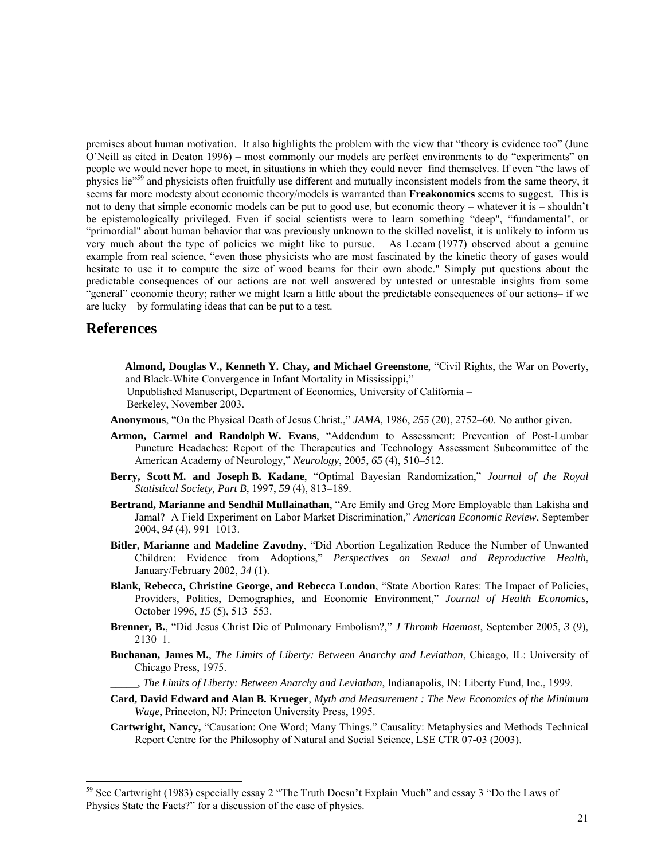premises about human motivation. It also highlights the problem with the view that "theory is evidence too" (June O'Neill as cited in Deaton 1996) – most commonly our models are perfect environments to do "experiments" on people we would never hope to meet, in situations in which they could never find themselves. If even "the laws of physics lie"59 and physicists often fruitfully use different and mutually inconsistent models from the same theory, it seems far more modesty about economic theory/models is warranted than **Freakonomics** seems to suggest. This is not to deny that simple economic models can be put to good use, but economic theory – whatever it is – shouldn't be epistemologically privileged. Even if social scientists were to learn something "deep", "fundamental", or "primordial" about human behavior that was previously unknown to the skilled novelist, it is unlikely to inform us very much about the type of policies we might like to pursue. As Lecam (1977) observed about a genuine example from real science, "even those physicists who are most fascinated by the kinetic theory of gases would hesitate to use it to compute the size of wood beams for their own abode." Simply put questions about the predictable consequences of our actions are not well–answered by untested or untestable insights from some "general" economic theory; rather we might learn a little about the predictable consequences of our actions– if we are lucky – by formulating ideas that can be put to a test.

## **References**

l

**Almond, Douglas V., Kenneth Y. Chay, and Michael Greenstone**, "Civil Rights, the War on Poverty, and Black-White Convergence in Infant Mortality in Mississippi,"

 Unpublished Manuscript, Department of Economics, University of California – Berkeley, November 2003.

**Anonymous**, "On the Physical Death of Jesus Christ.," *JAMA*, 1986, *255* (20), 2752–60. No author given.

- **Armon, Carmel and Randolph W. Evans**, "Addendum to Assessment: Prevention of Post-Lumbar Puncture Headaches: Report of the Therapeutics and Technology Assessment Subcommittee of the American Academy of Neurology," *Neurology*, 2005, *65* (4), 510–512.
- **Berry, Scott M. and Joseph B. Kadane**, "Optimal Bayesian Randomization," *Journal of the Royal Statistical Society, Part B*, 1997, *59* (4), 813–189.
- **Bertrand, Marianne and Sendhil Mullainathan**, "Are Emily and Greg More Employable than Lakisha and Jamal? A Field Experiment on Labor Market Discrimination," *American Economic Review*, September 2004, *94* (4), 991–1013.
- **Bitler, Marianne and Madeline Zavodny**, "Did Abortion Legalization Reduce the Number of Unwanted Children: Evidence from Adoptions," *Perspectives on Sexual and Reproductive Health*, January/February 2002, *34* (1).
- **Blank, Rebecca, Christine George, and Rebecca London**, "State Abortion Rates: The Impact of Policies, Providers, Politics, Demographics, and Economic Environment," *Journal of Health Economics*, October 1996, *15* (5), 513–553.
- **Brenner, B.**, "Did Jesus Christ Die of Pulmonary Embolism?," *J Thromb Haemost*, September 2005, *3* (9),  $2130 - 1$ .
- **Buchanan, James M.**, *The Limits of Liberty: Between Anarchy and Leviathan*, Chicago, IL: University of Chicago Press, 1975.
	- **\_\_\_\_\_**, *The Limits of Liberty: Between Anarchy and Leviathan*, Indianapolis, IN: Liberty Fund, Inc., 1999.
- **Card, David Edward and Alan B. Krueger**, *Myth and Measurement : The New Economics of the Minimum Wage*, Princeton, NJ: Princeton University Press, 1995.
- **Cartwright, Nancy,** "Causation: One Word; Many Things." Causality: Metaphysics and Methods Technical Report Centre for the Philosophy of Natural and Social Science, LSE CTR 07-03 (2003).

<sup>&</sup>lt;sup>59</sup> See Cartwright (1983) especially essay 2 "The Truth Doesn't Explain Much" and essay 3 "Do the Laws of Physics State the Facts?" for a discussion of the case of physics.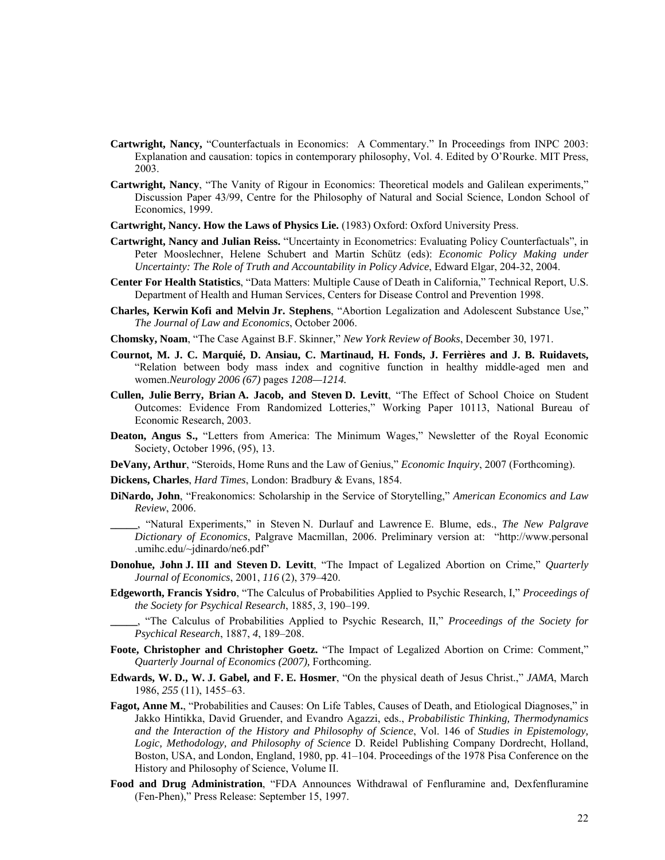- **Cartwright, Nancy,** "Counterfactuals in Economics: A Commentary." In Proceedings from INPC 2003: Explanation and causation: topics in contemporary philosophy, Vol. 4. Edited by O'Rourke. MIT Press, 2003.
- **Cartwright, Nancy**, "The Vanity of Rigour in Economics: Theoretical models and Galilean experiments," Discussion Paper 43/99, Centre for the Philosophy of Natural and Social Science, London School of Economics, 1999.
- **Cartwright, Nancy. How the Laws of Physics Lie.** (1983) Oxford: Oxford University Press.
- **Cartwright, Nancy and Julian Reiss.** "Uncertainty in Econometrics: Evaluating Policy Counterfactuals", in Peter Mooslechner, Helene Schubert and Martin Schütz (eds): *Economic Policy Making under Uncertainty: The Role of Truth and Accountability in Policy Advice*, Edward Elgar, 204-32, 2004.
- **Center For Health Statistics**, "Data Matters: Multiple Cause of Death in California," Technical Report, U.S. Department of Health and Human Services, Centers for Disease Control and Prevention 1998.
- **Charles, Kerwin Kofi and Melvin Jr. Stephens**, "Abortion Legalization and Adolescent Substance Use," *The Journal of Law and Economics*, October 2006.
- **Chomsky, Noam**, "The Case Against B.F. Skinner," *New York Review of Books*, December 30, 1971.
- **Cournot, M. J. C. Marquié, D. Ansiau, C. Martinaud, H. Fonds, J. Ferrières and J. B. Ruidavets,**  "Relation between body mass index and cognitive function in healthy middle-aged men and women.*Neurology 2006 (67)* pages *1208—1214.*
- **Cullen, Julie Berry, Brian A. Jacob, and Steven D. Levitt**, "The Effect of School Choice on Student Outcomes: Evidence From Randomized Lotteries," Working Paper 10113, National Bureau of Economic Research, 2003.
- **Deaton, Angus S.,** "Letters from America: The Minimum Wages," Newsletter of the Royal Economic Society, October 1996, (95), 13.
- **DeVany, Arthur**, "Steroids, Home Runs and the Law of Genius," *Economic Inquiry*, 2007 (Forthcoming).
- **Dickens, Charles**, *Hard Times*, London: Bradbury & Evans, 1854.
- **DiNardo, John**, "Freakonomics: Scholarship in the Service of Storytelling," *American Economics and Law Review*, 2006.
	- **\_\_\_\_\_**, "Natural Experiments," in Steven N. Durlauf and Lawrence E. Blume, eds., *The New Palgrave Dictionary of Economics*, Palgrave Macmillan, 2006. Preliminary version at: "http://www.personal .umihc.edu/~jdinardo/ne6.pdf"
- **Donohue, John J. III and Steven D. Levitt**, "The Impact of Legalized Abortion on Crime," *Quarterly Journal of Economics*, 2001, *116* (2), 379–420.
- **Edgeworth, Francis Ysidro**, "The Calculus of Probabilities Applied to Psychic Research, I," *Proceedings of the Society for Psychical Research*, 1885, *3*, 190–199.
	- **\_\_\_\_\_**, "The Calculus of Probabilities Applied to Psychic Research, II," *Proceedings of the Society for Psychical Research*, 1887, *4*, 189–208.
- **Foote, Christopher and Christopher Goetz.** "The Impact of Legalized Abortion on Crime: Comment," *Quarterly Journal of Economics (2007),* Forthcoming.
- **Edwards, W. D., W. J. Gabel, and F. E. Hosmer**, "On the physical death of Jesus Christ.," *JAMA*, March 1986, *255* (11), 1455–63.
- **Fagot, Anne M.**, "Probabilities and Causes: On Life Tables, Causes of Death, and Etiological Diagnoses," in Jakko Hintikka, David Gruender, and Evandro Agazzi, eds., *Probabilistic Thinking, Thermodynamics and the Interaction of the History and Philosophy of Science*, Vol. 146 of *Studies in Epistemology, Logic, Methodology, and Philosophy of Science* D. Reidel Publishing Company Dordrecht, Holland, Boston, USA, and London, England, 1980, pp. 41–104. Proceedings of the 1978 Pisa Conference on the History and Philosophy of Science, Volume II.
- **Food and Drug Administration**, "FDA Announces Withdrawal of Fenfluramine and, Dexfenfluramine (Fen-Phen)," Press Release: September 15, 1997.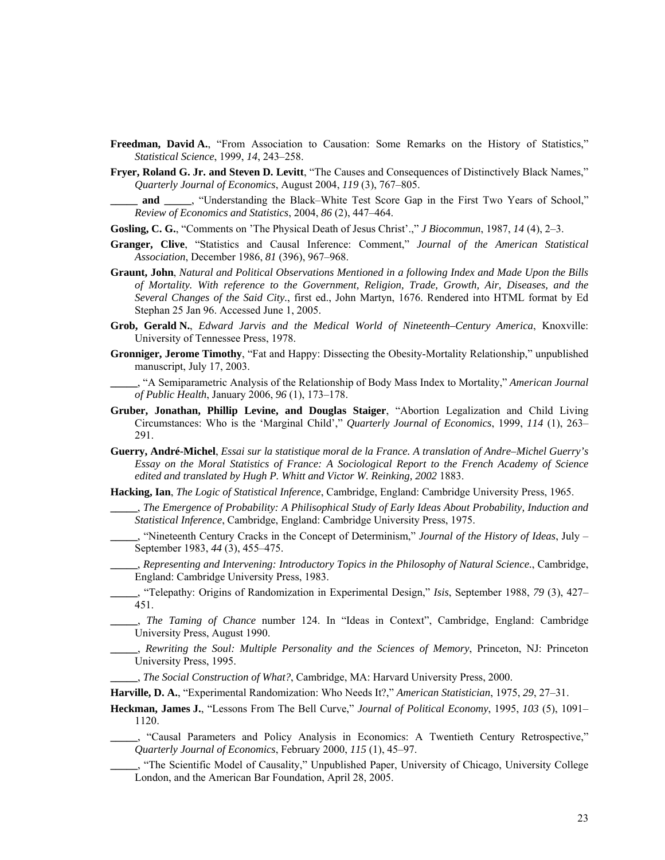- Freedman, David A., "From Association to Causation: Some Remarks on the History of Statistics," *Statistical Science*, 1999, *14*, 243–258.
- **Fryer, Roland G. Jr. and Steven D. Levitt**, "The Causes and Consequences of Distinctively Black Names," *Quarterly Journal of Economics*, August 2004, *119* (3), 767–805.

**\_\_\_\_\_ and \_\_\_\_\_**, "Understanding the Black–White Test Score Gap in the First Two Years of School," *Review of Economics and Statistics*, 2004, *86* (2), 447–464.

- **Gosling, C. G.**, "Comments on 'The Physical Death of Jesus Christ'.," *J Biocommun*, 1987, *14* (4), 2–3.
- **Granger, Clive**, "Statistics and Causal Inference: Comment," *Journal of the American Statistical Association*, December 1986, *81* (396), 967–968.
- **Graunt, John**, *Natural and Political Observations Mentioned in a following Index and Made Upon the Bills of Mortality. With reference to the Government, Religion, Trade, Growth, Air, Diseases, and the Several Changes of the Said City.*, first ed., John Martyn, 1676. Rendered into HTML format by Ed Stephan 25 Jan 96. Accessed June 1, 2005.
- **Grob, Gerald N.**, *Edward Jarvis and the Medical World of Nineteenth–Century America*, Knoxville: University of Tennessee Press, 1978.
- **Gronniger, Jerome Timothy**, "Fat and Happy: Dissecting the Obesity-Mortality Relationship," unpublished manuscript, July 17, 2003.

**\_\_\_\_\_**, "A Semiparametric Analysis of the Relationship of Body Mass Index to Mortality," *American Journal of Public Health*, January 2006, *96* (1), 173–178.

- **Gruber, Jonathan, Phillip Levine, and Douglas Staiger**, "Abortion Legalization and Child Living Circumstances: Who is the 'Marginal Child'," *Quarterly Journal of Economics*, 1999, *114* (1), 263– 291.
- **Guerry, André-Michel**, *Essai sur la statistique moral de la France. A translation of Andre–Michel Guerry's Essay on the Moral Statistics of France: A Sociological Report to the French Academy of Science edited and translated by Hugh P. Whitt and Victor W. Reinking, 2002* 1883.
- **Hacking, Ian**, *The Logic of Statistical Inference*, Cambridge, England: Cambridge University Press, 1965.
	- **\_\_\_\_\_**, *The Emergence of Probability: A Philisophical Study of Early Ideas About Probability, Induction and Statistical Inference*, Cambridge, England: Cambridge University Press, 1975.
	- **\_\_\_\_\_**, "Nineteenth Century Cracks in the Concept of Determinism," *Journal of the History of Ideas*, July September 1983, *44* (3), 455–475.
	- **\_\_\_\_\_**, *Representing and Intervening: Introductory Topics in the Philosophy of Natural Science.*, Cambridge, England: Cambridge University Press, 1983.
- **\_\_\_\_\_**, "Telepathy: Origins of Randomization in Experimental Design," *Isis*, September 1988, *79* (3), 427– 451.
	- **\_\_\_\_\_**, *The Taming of Chance* number 124. In "Ideas in Context", Cambridge, England: Cambridge University Press, August 1990.
- **\_\_\_\_\_**, *Rewriting the Soul: Multiple Personality and the Sciences of Memory*, Princeton, NJ: Princeton University Press, 1995.

**\_\_\_\_\_**, *The Social Construction of What?*, Cambridge, MA: Harvard University Press, 2000.

**Harville, D. A.**, "Experimental Randomization: Who Needs It?," *American Statistician*, 1975, *29*, 27–31.

- **Heckman, James J.**, "Lessons From The Bell Curve," *Journal of Political Economy*, 1995, *103* (5), 1091– 1120.
	- **\_\_\_\_\_**, "Causal Parameters and Policy Analysis in Economics: A Twentieth Century Retrospective," *Quarterly Journal of Economics*, February 2000, *115* (1), 45–97.

**\_\_\_\_\_**, "The Scientific Model of Causality," Unpublished Paper, University of Chicago, University College London, and the American Bar Foundation, April 28, 2005.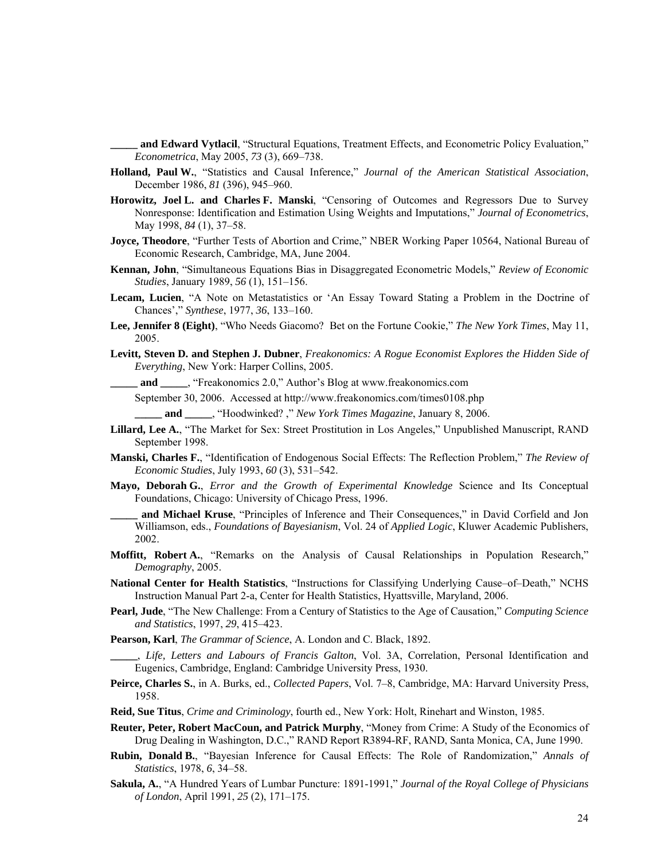and Edward Vytlacil, "Structural Equations, Treatment Effects, and Econometric Policy Evaluation," *Econometrica*, May 2005, *73* (3), 669–738.

- **Holland, Paul W.**, "Statistics and Causal Inference," *Journal of the American Statistical Association*, December 1986, *81* (396), 945–960.
- **Horowitz, Joel L. and Charles F. Manski**, "Censoring of Outcomes and Regressors Due to Survey Nonresponse: Identification and Estimation Using Weights and Imputations," *Journal of Econometrics*, May 1998, *84* (1), 37–58.
- **Joyce, Theodore**, "Further Tests of Abortion and Crime," NBER Working Paper 10564, National Bureau of Economic Research, Cambridge, MA, June 2004.
- **Kennan, John**, "Simultaneous Equations Bias in Disaggregated Econometric Models," *Review of Economic Studies*, January 1989, *56* (1), 151–156.
- **Lecam, Lucien**, "A Note on Metastatistics or 'An Essay Toward Stating a Problem in the Doctrine of Chances'," *Synthese*, 1977, *36*, 133–160.
- **Lee, Jennifer 8 (Eight)**, "Who Needs Giacomo? Bet on the Fortune Cookie," *The New York Times*, May 11, 2005.
- **Levitt, Steven D. and Stephen J. Dubner**, *Freakonomics: A Rogue Economist Explores the Hidden Side of Everything*, New York: Harper Collins, 2005.

**\_\_\_\_\_ and \_\_\_\_\_**, "Freakonomics 2.0," Author's Blog at www.freakonomics.com

September 30, 2006. Accessed at http://www.freakonomics.com/times0108.php

 **\_\_\_\_\_ and \_\_\_\_\_**, "Hoodwinked? ," *New York Times Magazine*, January 8, 2006.

- **Lillard, Lee A.**, "The Market for Sex: Street Prostitution in Los Angeles," Unpublished Manuscript, RAND September 1998.
- **Manski, Charles F.**, "Identification of Endogenous Social Effects: The Reflection Problem," *The Review of Economic Studies*, July 1993, *60* (3), 531–542.
- **Mayo, Deborah G.**, *Error and the Growth of Experimental Knowledge* Science and Its Conceptual Foundations, Chicago: University of Chicago Press, 1996.

**\_\_\_\_\_ and Michael Kruse**, "Principles of Inference and Their Consequences," in David Corfield and Jon Williamson, eds., *Foundations of Bayesianism*, Vol. 24 of *Applied Logic*, Kluwer Academic Publishers, 2002.

- **Moffitt, Robert A.**, "Remarks on the Analysis of Causal Relationships in Population Research," *Demography*, 2005.
- **National Center for Health Statistics**, "Instructions for Classifying Underlying Cause–of–Death," NCHS Instruction Manual Part 2-a, Center for Health Statistics, Hyattsville, Maryland, 2006.
- **Pearl, Jude**, "The New Challenge: From a Century of Statistics to the Age of Causation," *Computing Science and Statistics*, 1997, *29*, 415–423.
- **Pearson, Karl**, *The Grammar of Science*, A. London and C. Black, 1892.

**\_\_\_\_\_**, *Life, Letters and Labours of Francis Galton*, Vol. 3A, Correlation, Personal Identification and Eugenics, Cambridge, England: Cambridge University Press, 1930.

- **Peirce, Charles S.**, in A. Burks, ed., *Collected Papers*, Vol. 7–8, Cambridge, MA: Harvard University Press, 1958.
- **Reid, Sue Titus**, *Crime and Criminology*, fourth ed., New York: Holt, Rinehart and Winston, 1985.
- **Reuter, Peter, Robert MacCoun, and Patrick Murphy**, "Money from Crime: A Study of the Economics of Drug Dealing in Washington, D.C.," RAND Report R3894-RF, RAND, Santa Monica, CA, June 1990.
- **Rubin, Donald B.**, "Bayesian Inference for Causal Effects: The Role of Randomization," *Annals of Statistics*, 1978, *6*, 34–58.
- **Sakula, A.**, "A Hundred Years of Lumbar Puncture: 1891-1991," *Journal of the Royal College of Physicians of London*, April 1991, *25* (2), 171–175.